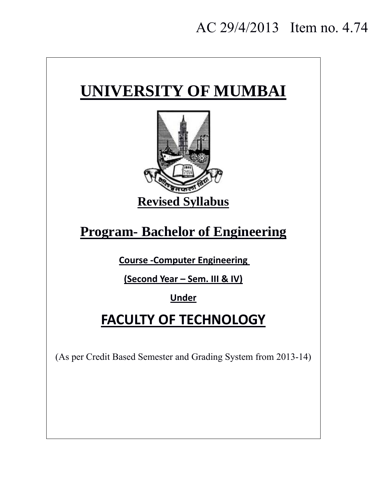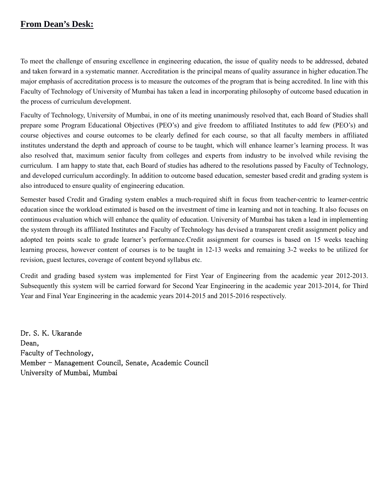## **From Dean's Desk:**

To meet the challenge of ensuring excellence in engineering education, the issue of quality needs to be addressed, debated and taken forward in a systematic manner. Accreditation is the principal means of quality assurance in higher education.The major emphasis of accreditation process is to measure the outcomes of the program that is being accredited. In line with this Faculty of Technology of University of Mumbai has taken a lead in incorporating philosophy of outcome based education in the process of curriculum development.

Faculty of Technology, University of Mumbai, in one of its meeting unanimously resolved that, each Board of Studies shall prepare some Program Educational Objectives (PEO's) and give freedom to affiliated Institutes to add few (PEO's) and course objectives and course outcomes to be clearly defined for each course, so that all faculty members in affiliated institutes understand the depth and approach of course to be taught, which will enhance learner's learning process. It was also resolved that, maximum senior faculty from colleges and experts from industry to be involved while revising the curriculum. I am happy to state that, each Board of studies has adhered to the resolutions passed by Faculty of Technology, and developed curriculum accordingly. In addition to outcome based education, semester based credit and grading system is also introduced to ensure quality of engineering education.

Semester based Credit and Grading system enables a much-required shift in focus from teacher-centric to learner-centric education since the workload estimated is based on the investment of time in learning and not in teaching. It also focuses on continuous evaluation which will enhance the quality of education. University of Mumbai has taken a lead in implementing the system through its affiliated Institutes and Faculty of Technology has devised a transparent credit assignment policy and adopted ten points scale to grade learner's performance.Credit assignment for courses is based on 15 weeks teaching learning process, however content of courses is to be taught in 12-13 weeks and remaining 3-2 weeks to be utilized for revision, guest lectures, coverage of content beyond syllabus etc.

Credit and grading based system was implemented for First Year of Engineering from the academic year 2012-2013. Subsequently this system will be carried forward for Second Year Engineering in the academic year 2013-2014, for Third Year and Final Year Engineering in the academic years 2014-2015 and 2015-2016 respectively.

Dr. S. K. Ukarande Dean, Faculty of Technology, Member - Management Council, Senate, Academic Council University of Mumbai, Mumbai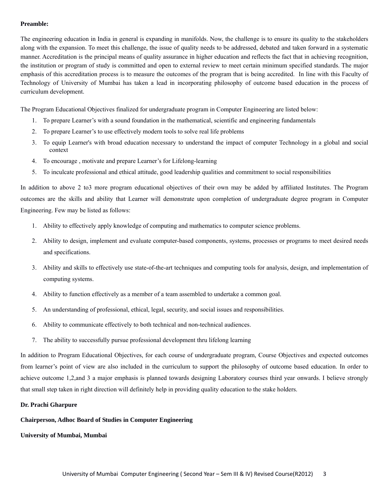#### **Preamble:**

The engineering education in India in general is expanding in manifolds. Now, the challenge is to ensure its quality to the stakeholders along with the expansion. To meet this challenge, the issue of quality needs to be addressed, debated and taken forward in a systematic manner. Accreditation is the principal means of quality assurance in higher education and reflects the fact that in achieving recognition, the institution or program of study is committed and open to external review to meet certain minimum specified standards. The major emphasis of this accreditation process is to measure the outcomes of the program that is being accredited. In line with this Faculty of Technology of University of Mumbai has taken a lead in incorporating philosophy of outcome based education in the process of curriculum development.

The Program Educational Objectives finalized for undergraduate program in Computer Engineering are listed below:

- 1. To prepare Learner's with a sound foundation in the mathematical, scientific and engineering fundamentals
- 2. To prepare Learner's to use effectively modern tools to solve real life problems
- 3. To equip Learner's with broad education necessary to understand the impact of computer Technology in a global and social context
- 4. To encourage , motivate and prepare Learner's for Lifelong-learning
- 5. To inculcate professional and ethical attitude, good leadership qualities and commitment to social responsibilities

In addition to above 2 to3 more program educational objectives of their own may be added by affiliated Institutes. The Program outcomes are the skills and ability that Learner will demonstrate upon completion of undergraduate degree program in Computer Engineering. Few may be listed as follows:

- 1. Ability to effectively apply knowledge of computing and mathematics to computer science problems.
- 2. Ability to design, implement and evaluate computer-based components, systems, processes or programs to meet desired needs and specifications.
- 3. Ability and skills to effectively use state-of-the-art techniques and computing tools for analysis, design, and implementation of computing systems.
- 4. Ability to function effectively as a member of a team assembled to undertake a common goal.
- 5. An understanding of professional, ethical, legal, security, and social issues and responsibilities.
- 6. Ability to communicate effectively to both technical and non-technical audiences.
- 7. The ability to successfully pursue professional development thru lifelong learning

In addition to Program Educational Objectives, for each course of undergraduate program, Course Objectives and expected outcomes from learner's point of view are also included in the curriculum to support the philosophy of outcome based education. In order to achieve outcome 1,2,and 3 a major emphasis is planned towards designing Laboratory courses third year onwards. I believe strongly that small step taken in right direction will definitely help in providing quality education to the stake holders.

#### **Dr. Prachi Gharpure**

#### **Chairperson, Adhoc Board of Studies in Computer Engineering**

**University of Mumbai, Mumbai**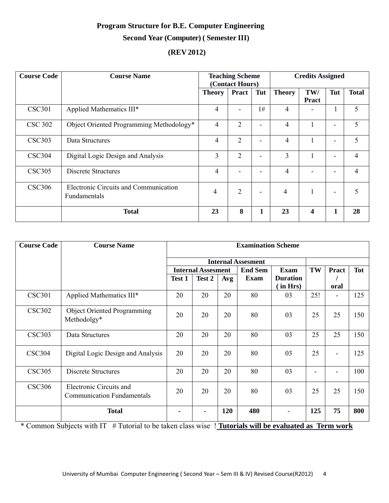# **Program Structure for B.E. Computer Engineering Second Year (Computer) ( Semester III)**

# **(REV 2012)**

| <b>Course Code</b> | <b>Course Name</b>                                           | <b>Teaching Scheme</b><br>(Contact Hours) |                |     | <b>Credits Assigned</b> |                         |                          |                |
|--------------------|--------------------------------------------------------------|-------------------------------------------|----------------|-----|-------------------------|-------------------------|--------------------------|----------------|
|                    |                                                              | <b>Theory</b>                             | <b>Pract</b>   | Tut | <b>Theory</b>           | TW/<br>Pract            | Tut                      | <b>Total</b>   |
| <b>CSC301</b>      | Applied Mathematics III*                                     | $\overline{4}$                            | $\blacksquare$ | 1#  | 4                       |                         | 1                        | 5              |
| <b>CSC 302</b>     | Object Oriented Programming Methodology*                     | 4                                         | $\overline{2}$ |     | 4                       |                         | ۰                        | 5              |
| <b>CSC303</b>      | Data Structures                                              | 4                                         | $\overline{2}$ |     | $\overline{4}$          |                         | ۰                        | 5              |
| <b>CSC304</b>      | Digital Logic Design and Analysis                            | 3                                         | $\overline{2}$ |     | 3                       |                         | ۰                        | $\overline{4}$ |
| <b>CSC305</b>      | Discrete Structures                                          | 4                                         |                |     | 4                       |                         |                          | $\overline{4}$ |
| <b>CSC306</b>      | Electronic Circuits and Communication<br><b>Fundamentals</b> | $\overline{4}$                            | $\overline{2}$ |     | 4                       |                         | $\overline{\phantom{a}}$ | 5              |
|                    | <b>Total</b>                                                 | 23                                        | 8              | 1   | 23                      | $\overline{\mathbf{4}}$ | 1                        | 28             |

| <b>Course Code</b> | <b>Course Name</b>                                                                                                       | <b>Examination Scheme</b> |                           |     |                           |                            |     |                          |            |
|--------------------|--------------------------------------------------------------------------------------------------------------------------|---------------------------|---------------------------|-----|---------------------------|----------------------------|-----|--------------------------|------------|
|                    |                                                                                                                          |                           |                           |     | <b>Internal Assesment</b> |                            |     |                          |            |
|                    |                                                                                                                          |                           | <b>Internal Assesment</b> |     | <b>End Sem</b>            | <b>Exam</b>                | TW  | Pract                    | <b>Tot</b> |
|                    |                                                                                                                          | Test 1                    | Test 2                    | Avg | <b>Exam</b>               | <b>Duration</b><br>in Hrs) |     | oral                     |            |
| <b>CSC301</b>      | Applied Mathematics III*                                                                                                 | 20                        | 20                        | 20  | 80                        | 03                         | 25! | $\overline{\phantom{a}}$ | 125        |
| <b>CSC302</b>      | <b>Object Oriented Programming</b><br>Methodolgy*                                                                        | 20                        | 20                        | 20  | 80                        | 03                         | 25  | 25                       | 150        |
| <b>CSC303</b>      | Data Structures                                                                                                          | 20                        | 20                        | 20  | 80                        | 03                         | 25  | 25                       | 150        |
| <b>CSC304</b>      | Digital Logic Design and Analysis                                                                                        | 20                        | 20                        | 20  | 80                        | 03                         | 25  |                          | 125        |
| <b>CSC305</b>      | Discrete Structures                                                                                                      | 20                        | 20                        | 20  | 80                        | 03                         |     |                          | 100        |
| <b>CSC306</b>      | Electronic Circuits and<br><b>Communication Fundamentals</b>                                                             | 20                        | 20                        | 20  | 80                        | 03                         | 25  | 25                       | 150        |
|                    | <b>Total</b><br>* Common Sylviaght with IT H Tytonial to be taken along wine H Tytonials will be evaluated as Town would |                           |                           | 120 | 480                       |                            | 125 | 75                       | 800        |

\* Common Subjects with IT # Tutorial to be taken class wise ! **Tutorials will be evaluated as Term work**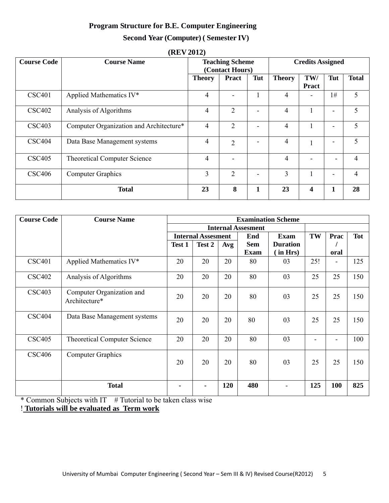## **Program Structure for B.E. Computer Engineering**

### **Second Year (Computer) ( Semester IV)**

| <b>Course Code</b> | <b>Course Name</b>                      | <b>Teaching Scheme</b><br>(Contact Hours) |                |     |                | <b>Credits Assigned</b> |     |                |
|--------------------|-----------------------------------------|-------------------------------------------|----------------|-----|----------------|-------------------------|-----|----------------|
|                    |                                         | <b>Theory</b>                             | <b>Pract</b>   | Tut | <b>Theory</b>  | TW/<br>Pract            | Tut | <b>Total</b>   |
| <b>CSC401</b>      | Applied Mathematics IV*                 | 4                                         |                |     | 4              | -                       | 1#  | 5              |
| <b>CSC402</b>      | Analysis of Algorithms                  | $\overline{4}$                            | $\overline{2}$ |     | 4              |                         |     | 5              |
| <b>CSC403</b>      | Computer Organization and Architecture* | $\overline{4}$                            | 2              |     | 4              |                         |     | 5              |
| <b>CSC404</b>      | Data Base Management systems            | $\overline{4}$                            | 2              |     | 4              |                         |     | 5              |
| <b>CSC405</b>      | <b>Theoretical Computer Science</b>     | $\overline{4}$                            |                |     | $\overline{4}$ | -                       |     | $\overline{4}$ |
| <b>CSC406</b>      | <b>Computer Graphics</b>                | 3                                         | $\overline{2}$ |     | 3              |                         |     | $\overline{4}$ |
|                    | <b>Total</b>                            | 23                                        | 8              | 1   | 23             | $\overline{\mathbf{4}}$ | 1   | 28             |

#### **(REV 2012)**

| <b>Course Code</b> | <b>Course Name</b>                         | <b>Examination Scheme</b> |                           |     |                           |                 |     |                          |            |
|--------------------|--------------------------------------------|---------------------------|---------------------------|-----|---------------------------|-----------------|-----|--------------------------|------------|
|                    |                                            |                           |                           |     | <b>Internal Assesment</b> |                 |     |                          |            |
|                    |                                            |                           | <b>Internal Assesment</b> |     | End                       | <b>Exam</b>     | TW  | Prac                     | <b>Tot</b> |
|                    |                                            | Test 1                    | Test 2                    | Avg | <b>Sem</b>                | <b>Duration</b> |     |                          |            |
|                    |                                            |                           |                           |     | <b>Exam</b>               | (in Hrs)        |     | oral                     |            |
| <b>CSC401</b>      | Applied Mathematics IV*                    | 20                        | 20                        | 20  | 80                        | 03              | 25! | $\overline{\phantom{0}}$ | 125        |
| <b>CSC402</b>      | Analysis of Algorithms                     | 20                        | 20                        | 20  | 80                        | 03              | 25  | 25                       | 150        |
| <b>CSC403</b>      | Computer Organization and<br>Architecture* | 20                        | 20                        | 20  | 80                        | 03              | 25  | 25                       | 150        |
| <b>CSC404</b>      | Data Base Management systems               | 20                        | 20                        | 20  | 80                        | 03              | 25  | 25                       | 150        |
| <b>CSC405</b>      | <b>Theoretical Computer Science</b>        | 20                        | 20                        | 20  | 80                        | 03              |     | $\overline{a}$           | 100        |
| <b>CSC406</b>      | <b>Computer Graphics</b>                   | 20                        | 20                        | 20  | 80                        | 03              | 25  | 25                       | 150        |
|                    | <b>Total</b>                               |                           | $\blacksquare$            | 120 | 480                       |                 | 125 | 100                      | 825        |

\* Common Subjects with IT  $#$  Tutorial to be taken class wise

! **Tutorials will be evaluated as Term work**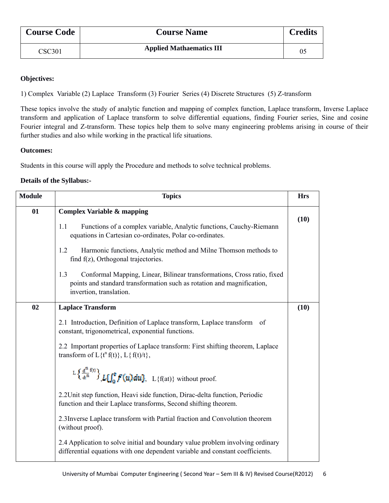| <b>Course Code</b> | <b>Course Name</b>              | <b>Credits</b> |
|--------------------|---------------------------------|----------------|
| CSC301             | <b>Applied Mathaematics III</b> | 05             |

#### **Objectives:**

1) Complex Variable (2) Laplace Transform (3) Fourier Series (4) Discrete Structures (5) Z-transform

These topics involve the study of analytic function and mapping of complex function, Laplace transform, Inverse Laplace transform and application of Laplace transform to solve differential equations, finding Fourier series, Sine and cosine Fourier integral and Z-transform. These topics help them to solve many engineering problems arising in course of their further studies and also while working in the practical life situations.

#### **Outcomes:**

Students in this course will apply the Procedure and methods to solve technical problems.

#### **Details of the Syllabus:-**

| <b>Module</b> | <b>Topics</b>                                                                                                                                                                       | <b>Hrs</b> |
|---------------|-------------------------------------------------------------------------------------------------------------------------------------------------------------------------------------|------------|
| 01            | <b>Complex Variable &amp; mapping</b>                                                                                                                                               | (10)       |
|               | Functions of a complex variable, Analytic functions, Cauchy-Riemann<br>1.1<br>equations in Cartesian co-ordinates, Polar co-ordinates.                                              |            |
|               | Harmonic functions, Analytic method and Milne Thomson methods to<br>1.2<br>find f(z), Orthogonal trajectories.                                                                      |            |
|               | 1.3<br>Conformal Mapping, Linear, Bilinear transformations, Cross ratio, fixed<br>points and standard transformation such as rotation and magnification,<br>invertion, translation. |            |
| 02            | <b>Laplace Transform</b>                                                                                                                                                            | (10)       |
|               | 2.1 Introduction, Definition of Laplace transform, Laplace transform of<br>constant, trigonometrical, exponential functions.                                                        |            |
|               | 2.2 Important properties of Laplace transform: First shifting theorem, Laplace<br>transform of $L\{t^n f(t)\}, L\{f(t)/t\},$                                                        |            |
|               | $L\left\{\frac{d^n}{dt^n}f(t)\right\}$ $L\left\{\int_{0}^{t} f'(u)du\right\}$ , $L\left\{f(at)\right\}$ without proof.                                                              |            |
|               | 2.2 Unit step function, Heavi side function, Dirac-delta function, Periodic<br>function and their Laplace transforms, Second shifting theorem.                                      |            |
|               | 2.3 Inverse Laplace transform with Partial fraction and Convolution theorem<br>(without proof).                                                                                     |            |
|               | 2.4 Application to solve initial and boundary value problem involving ordinary<br>differential equations with one dependent variable and constant coefficients.                     |            |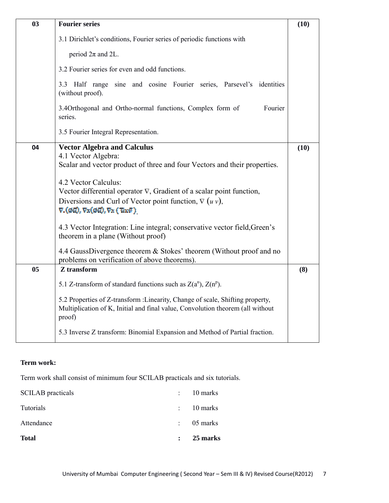| 03 | <b>Fourier series</b>                                                                                                                                                                                                                                                                                                                                                                                                                                                                                                                                                                                                                  | (10) |
|----|----------------------------------------------------------------------------------------------------------------------------------------------------------------------------------------------------------------------------------------------------------------------------------------------------------------------------------------------------------------------------------------------------------------------------------------------------------------------------------------------------------------------------------------------------------------------------------------------------------------------------------------|------|
|    | 3.1 Dirichlet's conditions, Fourier series of periodic functions with                                                                                                                                                                                                                                                                                                                                                                                                                                                                                                                                                                  |      |
|    | period $2\pi$ and 2L.                                                                                                                                                                                                                                                                                                                                                                                                                                                                                                                                                                                                                  |      |
|    | 3.2 Fourier series for even and odd functions.                                                                                                                                                                                                                                                                                                                                                                                                                                                                                                                                                                                         |      |
|    | 3.3 Half range sine and cosine Fourier series, Parsevel's identities<br>(without proof).                                                                                                                                                                                                                                                                                                                                                                                                                                                                                                                                               |      |
|    | 3.4Orthogonal and Ortho-normal functions, Complex form of<br>Fourier<br>series.                                                                                                                                                                                                                                                                                                                                                                                                                                                                                                                                                        |      |
|    | 3.5 Fourier Integral Representation.                                                                                                                                                                                                                                                                                                                                                                                                                                                                                                                                                                                                   |      |
| 04 | <b>Vector Algebra and Calculus</b><br>4.1 Vector Algebra:<br>Scalar and vector product of three and four Vectors and their properties.<br>4.2 Vector Calculus:<br>Vector differential operator $\nabla$ , Gradient of a scalar point function,<br>Diversions and Curl of Vector point function, $\nabla (u v)$ ,<br>$\nabla.(\phi\vec{u}), \nabla x(\phi\vec{u}), \nabla x(\vec{u}x\vec{v})$<br>4.3 Vector Integration: Line integral; conservative vector field, Green's<br>theorem in a plane (Without proof)<br>4.4 GaussDivergence theorem & Stokes' theorem (Without proof and no<br>problems on verification of above theorems). | (10) |
| 05 | Z transform                                                                                                                                                                                                                                                                                                                                                                                                                                                                                                                                                                                                                            | (8)  |
|    | 5.1 Z-transform of standard functions such as $Z(a^n)$ , $Z(n^p)$ .                                                                                                                                                                                                                                                                                                                                                                                                                                                                                                                                                                    |      |
|    | 5.2 Properties of Z-transform : Linearity, Change of scale, Shifting property,<br>Multiplication of K, Initial and final value, Convolution theorem (all without<br>proof)                                                                                                                                                                                                                                                                                                                                                                                                                                                             |      |
|    | 5.3 Inverse Z transform: Binomial Expansion and Method of Partial fraction.                                                                                                                                                                                                                                                                                                                                                                                                                                                                                                                                                            |      |

#### **Term work:**

Term work shall consist of minimum four SCILAB practicals and six tutorials.

| <b>Total</b>             | $\mathbf{L}$              | 25 marks              |
|--------------------------|---------------------------|-----------------------|
| Attendance               | $\mathbb{R}^{\mathbb{Z}}$ | 05 marks              |
| Tutorials                |                           | $\therefore$ 10 marks |
| <b>SCILAB</b> practicals | $\mathbb{R}^{\mathbb{Z}}$ | 10 marks              |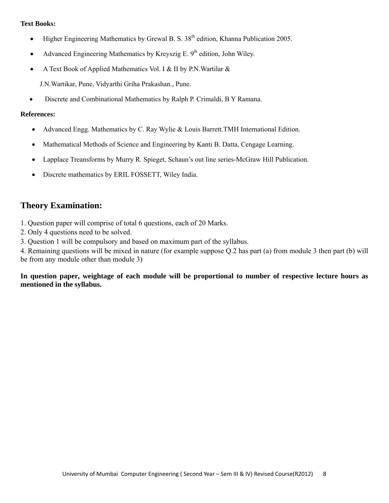- Higher Engineering Mathematics by Grewal B. S.  $38<sup>th</sup>$  edition, Khanna Publication 2005.
- Advanced Engineering Mathematics by Kreyszig E.  $9<sup>th</sup>$  edition, John Wiley.
- A Text Book of Applied Mathematics Vol. I & II by P.N. Wartilar &

J.N.Wartikar, Pune, Vidyarthi Griha Prakashan., Pune.

• Discrete and Combinational Mathematics by Ralph P. Crimaldi, B Y Ramana.

#### **References:**

- Advanced Engg. Mathematics by C. Ray Wylie & Louis Barrett.TMH International Edition.
- Mathematical Methods of Science and Engineering by Kanti B. Datta, Cengage Learning.
- Lapplace Treansforms by Murry R. Spieget, Schaun's out line series-McGraw Hill Publication.
- Discrete mathematics by ERIL FOSSETT, Wiley India.

# **Theory Examination:**

- 1. Question paper will comprise of total 6 questions, each of 20 Marks.
- 2. Only 4 questions need to be solved.
- 3. Question 1 will be compulsory and based on maximum part of the syllabus.

4. Remaining questions will be mixed in nature (for example suppose Q.2 has part (a) from module 3 then part (b) will be from any module other than module 3)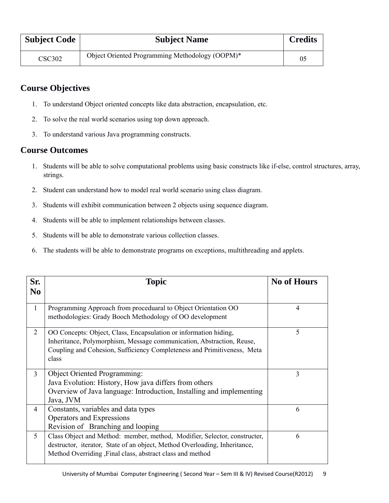| <b>Subject Code</b> | <b>Subject Name</b>                             | <b>Credits</b> |
|---------------------|-------------------------------------------------|----------------|
| <b>CSC302</b>       | Object Oriented Programming Methodology (OOPM)* | 05             |

# **Course Objectives**

- 1. To understand Object oriented concepts like data abstraction, encapsulation, etc.
- 2. To solve the real world scenarios using top down approach.
- 3. To understand various Java programming constructs.

### **Course Outcomes**

- 1. Students will be able to solve computational problems using basic constructs like if-else, control structures, array, strings.
- 2. Student can understand how to model real world scenario using class diagram.
- 3. Students will exhibit communication between 2 objects using sequence diagram.
- 4. Students will be able to implement relationships between classes.
- 5. Students will be able to demonstrate various collection classes.
- 6. The students will be able to demonstrate programs on exceptions, multithreading and applets.

| Sr.<br>N <sub>0</sub> | <b>Topic</b>                                                                                                                                                                                                                  | <b>No of Hours</b> |
|-----------------------|-------------------------------------------------------------------------------------------------------------------------------------------------------------------------------------------------------------------------------|--------------------|
|                       |                                                                                                                                                                                                                               |                    |
| $\mathbf{1}$          | Programming Approach from proceduaral to Object Orientation OO<br>methodologies: Grady Booch Methodology of OO development                                                                                                    | 4                  |
| $\overline{2}$        | OO Concepts: Object, Class, Encapsulation or information hiding,<br>Inheritance, Polymorphism, Message communication, Abstraction, Reuse,<br>Coupling and Cohesion, Sufficiency Completeness and Primitiveness, Meta<br>class | 5                  |
| $\overline{3}$        | <b>Object Oriented Programming:</b><br>Java Evolution: History, How java differs from others<br>Overview of Java language: Introduction, Installing and implementing<br>Java, JVM                                             | 3                  |
| $\overline{4}$        | Constants, variables and data types<br>Operators and Expressions<br>Revision of Branching and looping                                                                                                                         | 6                  |
| 5                     | Class Object and Method: member, method, Modifier, Selector, constructer,<br>destructor, iterator, State of an object, Method Overloading, Inheritance,<br>Method Overriding, Final class, abstract class and method          | 6                  |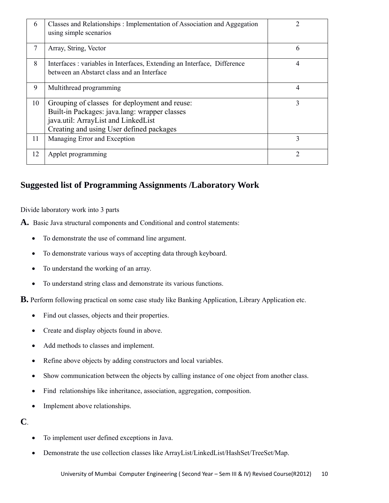| 6  | Classes and Relationships: Implementation of Association and Aggegation<br>using simple scenarios                                                                                 | 2 |
|----|-----------------------------------------------------------------------------------------------------------------------------------------------------------------------------------|---|
| 7  | Array, String, Vector                                                                                                                                                             | 6 |
| 8  | Interfaces: variables in Interfaces, Extending an Interface, Difference<br>between an Abstarct class and an Interface                                                             | 4 |
| 9  | Multithread programming                                                                                                                                                           | 4 |
| 10 | Grouping of classes for deployment and reuse:<br>Built-in Packages: java.lang: wrapper classes<br>java.util: ArrayList and LinkedList<br>Creating and using User defined packages | 3 |
| 11 | Managing Error and Exception                                                                                                                                                      | 3 |
| 12 | Applet programming                                                                                                                                                                | 2 |

# **Suggested list of Programming Assignments /Laboratory Work**

Divide laboratory work into 3 parts

- **A.** Basic Java structural components and Conditional and control statements:
	- To demonstrate the use of command line argument.
	- To demonstrate various ways of accepting data through keyboard.
	- To understand the working of an array.
	- To understand string class and demonstrate its various functions.
- **B.** Perform following practical on some case study like Banking Application, Library Application etc.
	- Find out classes, objects and their properties.
	- Create and display objects found in above.
	- Add methods to classes and implement.
	- Refine above objects by adding constructors and local variables.
	- Show communication between the objects by calling instance of one object from another class.
	- Find relationships like inheritance, association, aggregation, composition.
	- Implement above relationships.

## **C**.

- To implement user defined exceptions in Java.
- Demonstrate the use collection classes like ArrayList/LinkedList/HashSet/TreeSet/Map.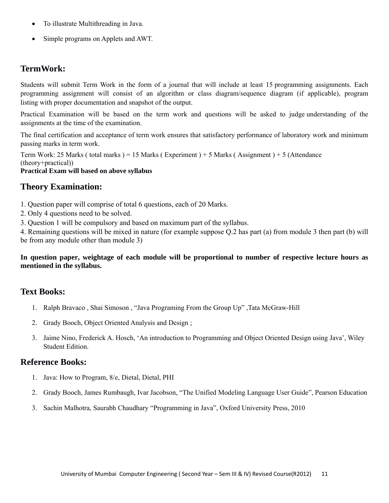- To illustrate Multithreading in Java.
- Simple programs on Applets and AWT.

### **TermWork:**

Students will submit Term Work in the form of a journal that will include at least 15 programming assignments. Each programming assignment will consist of an algorithm or class diagram/sequence diagram (if applicable), program listing with proper documentation and snapshot of the output.

Practical Examination will be based on the term work and questions will be asked to judge understanding of the assignments at the time of the examination.

The final certification and acceptance of term work ensures that satisfactory performance of laboratory work and minimum passing marks in term work.

Term Work: 25 Marks ( total marks ) = 15 Marks ( Experiment ) + 5 Marks ( Assignment ) + 5 (Attendance (theory+practical))

#### **Practical Exam will based on above syllabus**

### **Theory Examination:**

- 1. Question paper will comprise of total 6 questions, each of 20 Marks.
- 2. Only 4 questions need to be solved.

3. Question 1 will be compulsory and based on maximum part of the syllabus.

4. Remaining questions will be mixed in nature (for example suppose Q.2 has part (a) from module 3 then part (b) will be from any module other than module 3)

#### **In question paper, weightage of each module will be proportional to number of respective lecture hours as mentioned in the syllabus.**

## **Text Books:**

- 1. Ralph Bravaco , Shai Simoson , "Java Programing From the Group Up" ,Tata McGraw-Hill
- 2. Grady Booch, Object Oriented Analysis and Design ;
- 3. Jaime Nino, Frederick A. Hosch, 'An introduction to Programming and Object Oriented Design using Java', Wiley Student Edition.

#### **Reference Books:**

- 1. Java: How to Program, 8/e, Dietal, Dietal, PHI
- 2. Grady Booch, James Rumbaugh, Ivar Jacobson, "The Unified Modeling Language User Guide", Pearson Education
- 3. Sachin Malhotra, Saurabh Chaudhary "Programming in Java", Oxford University Press, 2010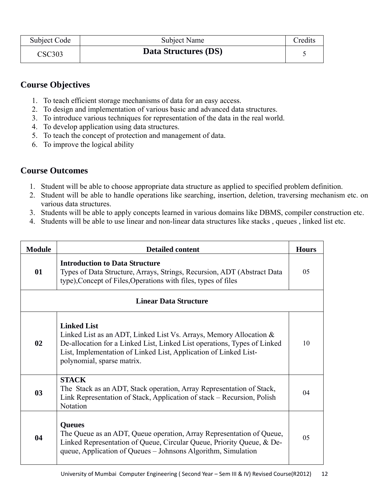| Subject Code | Subject Name         | Credits |
|--------------|----------------------|---------|
| CSC303       | Data Structures (DS) |         |

# **Course Objectives**

- 1. To teach efficient storage mechanisms of data for an easy access.
- 2. To design and implementation of various basic and advanced data structures.
- 3. To introduce various techniques for representation of the data in the real world.
- 4. To develop application using data structures.
- 5. To teach the concept of protection and management of data.
- 6. To improve the logical ability

# **Course Outcomes**

- 1. Student will be able to choose appropriate data structure as applied to specified problem definition.
- 2. Student will be able to handle operations like searching, insertion, deletion, traversing mechanism etc. on various data structures.
- 3. Students will be able to apply concepts learned in various domains like DBMS, compiler construction etc.
- 4. Students will be able to use linear and non-linear data structures like stacks , queues , linked list etc.

| <b>Module</b>  | <b>Detailed content</b>                                                                                                                                                                                                                                                   | <b>Hours</b>   |
|----------------|---------------------------------------------------------------------------------------------------------------------------------------------------------------------------------------------------------------------------------------------------------------------------|----------------|
| 01             | <b>Introduction to Data Structure</b><br>Types of Data Structure, Arrays, Strings, Recursion, ADT (Abstract Data)<br>type), Concept of Files, Operations with files, types of files                                                                                       | 0 <sub>5</sub> |
|                | <b>Linear Data Structure</b>                                                                                                                                                                                                                                              |                |
| 02             | <b>Linked List</b><br>Linked List as an ADT, Linked List Vs. Arrays, Memory Allocation $\&$<br>De-allocation for a Linked List, Linked List operations, Types of Linked<br>List, Implementation of Linked List, Application of Linked List-<br>polynomial, sparse matrix. | 10             |
| 0 <sub>3</sub> | <b>STACK</b><br>The Stack as an ADT, Stack operation, Array Representation of Stack,<br>Link Representation of Stack, Application of stack – Recursion, Polish<br>Notation                                                                                                | 04             |
| 04             | <b>Queues</b><br>The Queue as an ADT, Queue operation, Array Representation of Queue,<br>Linked Representation of Queue, Circular Queue, Priority Queue, & De-<br>queue, Application of Queues – Johnsons Algorithm, Simulation                                           | 05             |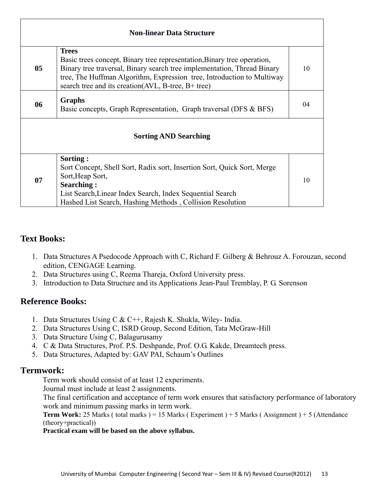| <b>Non-linear Data Structure</b> |                                                                                                                                                                                                                                                                                                     |    |
|----------------------------------|-----------------------------------------------------------------------------------------------------------------------------------------------------------------------------------------------------------------------------------------------------------------------------------------------------|----|
| 05                               | <b>Trees</b><br>Basic trees concept, Binary tree representation, Binary tree operation,<br>Binary tree traversal, Binary search tree implementation, Thread Binary<br>tree, The Huffman Algorithm, Expression tree, Introduction to Multiway<br>search tree and its creation (AVL, B-tree, B+ tree) | 10 |
| 06                               | <b>Graphs</b><br>Basic concepts, Graph Representation, Graph traversal (DFS & BFS)                                                                                                                                                                                                                  | 04 |
|                                  | <b>Sorting AND Searching</b>                                                                                                                                                                                                                                                                        |    |
| 07                               | Sorting:<br>Sort Concept, Shell Sort, Radix sort, Insertion Sort, Quick Sort, Merge<br>Sort, Heap Sort,<br><b>Searching:</b><br>List Search, Linear Index Search, Index Sequential Search<br>Hashed List Search, Hashing Methods, Collision Resolution                                              | 10 |

- 1. Data Structures A Psedocode Approach with C, Richard F. Gilberg & Behrouz A. Forouzan, second edition, CENGAGE Learning.
- 2. Data Structures using C, Reema Thareja, Oxford University press.
- 3. Introduction to Data Structure and its Applications Jean-Paul Tremblay, P. G. Sorenson

# **Reference Books:**

- 1. Data Structures Using C & C++, Rajesh K. Shukla, Wiley- India.
- 2. Data Structures Using C, ISRD Group, Second Edition, Tata McGraw-Hill
- 3. Data Structure Using C, Balagurusamy
- 4. C & Data Structures, Prof. P.S. Deshpande, Prof. O.G. Kakde, Dreamtech press.
- 5. Data Structures, Adapted by: GAV PAI, Schaum's Outlines

## **Termwork:**

Term work should consist of at least 12 experiments.

Journal must include at least 2 assignments.

The final certification and acceptance of term work ensures that satisfactory performance of laboratory work and minimum passing marks in term work.

**Term Work:** 25 Marks (total marks) = 15 Marks (Experiment) + 5 Marks (Assignment) + 5 (Attendance (theory+practical))

### **Practical exam will be based on the above syllabus.**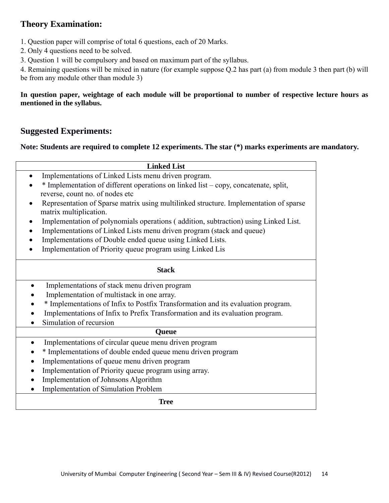# **Theory Examination:**

- 1. Question paper will comprise of total 6 questions, each of 20 Marks.
- 2. Only 4 questions need to be solved.
- 3. Question 1 will be compulsory and based on maximum part of the syllabus.

4. Remaining questions will be mixed in nature (for example suppose Q.2 has part (a) from module 3 then part (b) will be from any module other than module 3)

#### **In question paper, weightage of each module will be proportional to number of respective lecture hours as mentioned in the syllabus.**

# **Suggested Experiments:**

#### **Note: Students are required to complete 12 experiments. The star (\*) marks experiments are mandatory.**

| <b>Linked List</b>                                                                    |  |
|---------------------------------------------------------------------------------------|--|
| Implementations of Linked Lists menu driven program.                                  |  |
| * Implementation of different operations on linked list – copy, concatenate, split,   |  |
| reverse, count no. of nodes etc                                                       |  |
| Representation of Sparse matrix using multilinked structure. Implementation of sparse |  |
| matrix multiplication.                                                                |  |
| Implementation of polynomials operations (addition, subtraction) using Linked List.   |  |
| Implementations of Linked Lists menu driven program (stack and queue)                 |  |
| Implementations of Double ended queue using Linked Lists.                             |  |
| Implementation of Priority queue program using Linked Lis                             |  |
|                                                                                       |  |
| <b>Stack</b>                                                                          |  |
|                                                                                       |  |
| Implementations of stack menu driven program                                          |  |
| Implementation of multistack in one array.                                            |  |
| * Implementations of Infix to Postfix Transformation and its evaluation program.      |  |
| Implementations of Infix to Prefix Transformation and its evaluation program.         |  |
| Simulation of recursion                                                               |  |
| <b>Queue</b>                                                                          |  |
| Implementations of circular queue menu driven program                                 |  |
| * Implementations of double ended queue menu driven program                           |  |
| Implementations of queue menu driven program                                          |  |
| Implementation of Priority queue program using array.                                 |  |
| Implementation of Johnsons Algorithm                                                  |  |
| <b>Implementation of Simulation Problem</b>                                           |  |
| <b>Tree</b>                                                                           |  |
|                                                                                       |  |
|                                                                                       |  |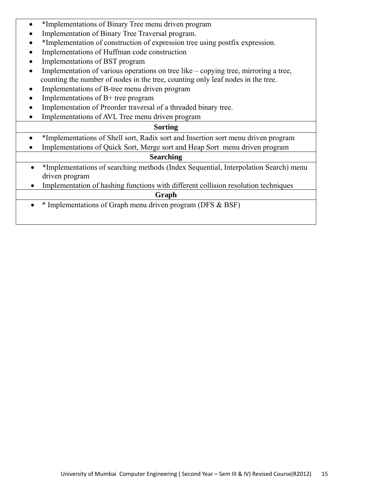- \*Implementations of Binary Tree menu driven program
- Implementation of Binary Tree Traversal program.
- \*Implementation of construction of expression tree using postfix expression.
- Implementations of Huffman code construction
- Implementations of BST program
- Implementation of various operations on tree like copying tree, mirroring a tree, counting the number of nodes in the tree, counting only leaf nodes in the tree.
- Implementations of B-tree menu driven program
- Implementations of B+ tree program
- Implementation of Preorder traversal of a threaded binary tree.
- Implementations of AVL Tree menu driven program

#### **Sorting**

- \*Implementations of Shell sort, Radix sort and Insertion sort menu driven program
- Implementations of Quick Sort, Merge sort and Heap Sort menu driven program

#### **Searching**

- \*Implementations of searching methods (Index Sequential, Interpolation Search) menu driven program
- Implementation of hashing functions with different collision resolution techniques

#### **Graph**

• \* Implementations of Graph menu driven program (DFS & BSF)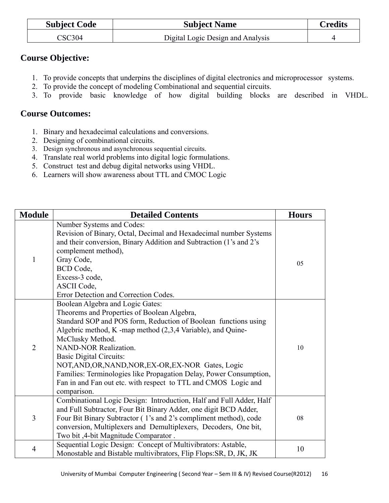| <b>Subject Code</b> | <b>Subject Name</b>               | <b>Credits</b> |
|---------------------|-----------------------------------|----------------|
| CSC304              | Digital Logic Design and Analysis |                |

# **Course Objective:**

- 1. To provide concepts that underpins the disciplines of digital electronics and microprocessor systems.
- 2. To provide the concept of modeling Combinational and sequential circuits.
- 3. To provide basic knowledge of how digital building blocks are described in VHDL.

# **Course Outcomes:**

- 1. Binary and hexadecimal calculations and conversions.
- 2. Designing of combinational circuits.
- 3. Design synchronous and asynchronous sequential circuits.
- 4. Translate real world problems into digital logic formulations.
- 5. Construct test and debug digital networks using VHDL.
- 6. Learners will show awareness about TTL and CMOC Logic

| <b>Module</b>  | <b>Detailed Contents</b>                                                                                                                                                                                                                                                                                                                                                                                                                                                                                              | <b>Hours</b> |
|----------------|-----------------------------------------------------------------------------------------------------------------------------------------------------------------------------------------------------------------------------------------------------------------------------------------------------------------------------------------------------------------------------------------------------------------------------------------------------------------------------------------------------------------------|--------------|
| $\mathbf{1}$   | Number Systems and Codes:<br>Revision of Binary, Octal, Decimal and Hexadecimal number Systems<br>and their conversion, Binary Addition and Subtraction (1's and 2's<br>complement method),<br>Gray Code,<br>BCD Code,<br>Excess-3 code,<br>ASCII Code,<br>Error Detection and Correction Codes.                                                                                                                                                                                                                      | 05           |
| $\overline{2}$ | Boolean Algebra and Logic Gates:<br>Theorems and Properties of Boolean Algebra,<br>Standard SOP and POS form, Reduction of Boolean functions using<br>Algebric method, K -map method (2,3,4 Variable), and Quine-<br>McClusky Method.<br><b>NAND-NOR Realization.</b><br><b>Basic Digital Circuits:</b><br>NOT, AND, OR, NAND, NOR, EX-OR, EX-NOR Gates, Logic<br>Families: Terminologies like Propagation Delay, Power Consumption,<br>Fan in and Fan out etc. with respect to TTL and CMOS Logic and<br>comparison. | 10           |
| $\mathfrak{Z}$ | Combinational Logic Design: Introduction, Half and Full Adder, Half<br>and Full Subtractor, Four Bit Binary Adder, one digit BCD Adder,<br>Four Bit Binary Subtractor (1's and 2's compliment method), code<br>conversion, Multiplexers and Demultiplexers, Decoders, One bit,<br>Two bit, 4-bit Magnitude Comparator.                                                                                                                                                                                                | 08           |
| $\overline{4}$ | Sequential Logic Design: Concept of Multivibrators: Astable,<br>Monostable and Bistable multivibrators, Flip Flops: SR, D, JK, JK                                                                                                                                                                                                                                                                                                                                                                                     | 10           |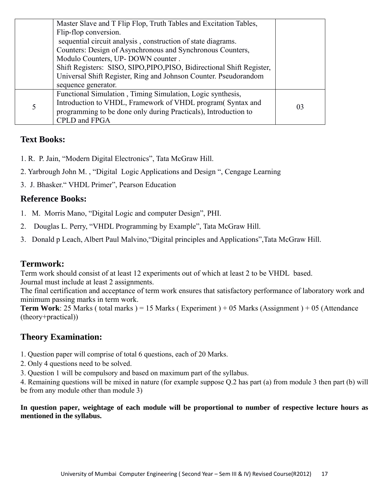|   | Master Slave and T Flip Flop, Truth Tables and Excitation Tables,      |    |
|---|------------------------------------------------------------------------|----|
|   | Flip-flop conversion.                                                  |    |
|   | sequential circuit analysis, construction of state diagrams.           |    |
|   | Counters: Design of Asynchronous and Synchronous Counters,             |    |
|   | Modulo Counters, UP-DOWN counter.                                      |    |
|   | Shift Registers: SISO, SIPO, PIPO, PISO, Bidirectional Shift Register, |    |
|   | Universal Shift Register, Ring and Johnson Counter. Pseudorandom       |    |
|   | sequence generator.                                                    |    |
|   | Functional Simulation, Timing Simulation, Logic synthesis,             |    |
| 5 | Introduction to VHDL, Framework of VHDL program(Syntax and             | 03 |
|   | programming to be done only during Practicals), Introduction to        |    |
|   | CPLD and FPGA                                                          |    |

- 1. R. P. Jain, "Modern Digital Electronics", Tata McGraw Hill.
- 2. Yarbrough John M. , "Digital Logic Applications and Design ", Cengage Learning
- 3. J. Bhasker." VHDL Primer", Pearson Education

# **Reference Books:**

- 1. M. Morris Mano, "Digital Logic and computer Design", PHI.
- 2. Douglas L. Perry, "VHDL Programming by Example", Tata McGraw Hill.
- 3. Donald p Leach, Albert Paul Malvino,"Digital principles and Applications",Tata McGraw Hill.

# **Termwork:**

Term work should consist of at least 12 experiments out of which at least 2 to be VHDL based. Journal must include at least 2 assignments.

The final certification and acceptance of term work ensures that satisfactory performance of laboratory work and minimum passing marks in term work.

**Term Work**: 25 Marks ( total marks ) = 15 Marks ( Experiment ) + 05 Marks (Assignment ) + 05 (Attendance (theory+practical))

# **Theory Examination:**

- 1. Question paper will comprise of total 6 questions, each of 20 Marks.
- 2. Only 4 questions need to be solved.
- 3. Question 1 will be compulsory and based on maximum part of the syllabus.

4. Remaining questions will be mixed in nature (for example suppose Q.2 has part (a) from module 3 then part (b) will be from any module other than module 3)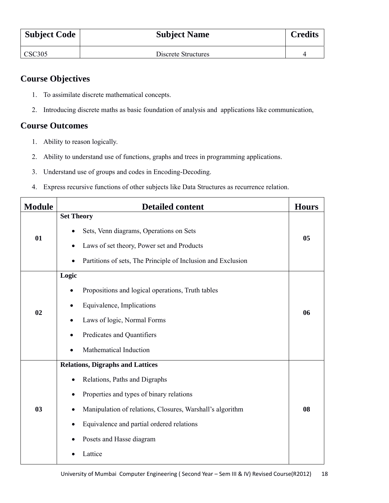| <b>Subject Code</b> | <b>Subject Name</b> | <b>Credits</b> |
|---------------------|---------------------|----------------|
| <b>CSC305</b>       | Discrete Structures |                |

# **Course Objectives**

- 1. To assimilate discrete mathematical concepts.
- 2. Introducing discrete maths as basic foundation of analysis and applications like communication,

# **Course Outcomes**

- 1. Ability to reason logically.
- 2. Ability to understand use of functions, graphs and trees in programming applications.
- 3. Understand use of groups and codes in Encoding-Decoding.
- 4. Express recursive functions of other subjects like Data Structures as recurrence relation.

| <b>Module</b> | <b>Detailed content</b>                                                                                                                                                                                                                                               | <b>Hours</b> |
|---------------|-----------------------------------------------------------------------------------------------------------------------------------------------------------------------------------------------------------------------------------------------------------------------|--------------|
| 01            | <b>Set Theory</b><br>Sets, Venn diagrams, Operations on Sets<br>Laws of set theory, Power set and Products<br>Partitions of sets, The Principle of Inclusion and Exclusion<br>$\bullet$                                                                               | 05           |
| 02            | Logic<br>Propositions and logical operations, Truth tables<br>Equivalence, Implications<br>٠<br>Laws of logic, Normal Forms<br>٠<br>Predicates and Quantifiers<br>$\bullet$<br>Mathematical Induction                                                                 | 06           |
| 03            | <b>Relations, Digraphs and Lattices</b><br>Relations, Paths and Digraphs<br>Properties and types of binary relations<br>Manipulation of relations, Closures, Warshall's algorithm<br>Equivalence and partial ordered relations<br>Posets and Hasse diagram<br>Lattice | 08           |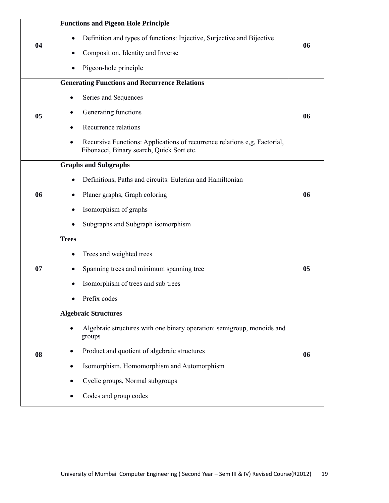| 04<br>05 | <b>Functions and Pigeon Hole Principle</b><br>Definition and types of functions: Injective, Surjective and Bijective<br>Composition, Identity and Inverse<br>Pigeon-hole principle<br><b>Generating Functions and Recurrence Relations</b><br>Series and Sequences<br>Generating functions | 06<br>06 |
|----------|--------------------------------------------------------------------------------------------------------------------------------------------------------------------------------------------------------------------------------------------------------------------------------------------|----------|
|          | Recurrence relations<br>$\bullet$<br>Recursive Functions: Applications of recurrence relations e,g, Factorial,<br>$\bullet$<br>Fibonacci, Binary search, Quick Sort etc.                                                                                                                   |          |
| 06       | <b>Graphs and Subgraphs</b><br>Definitions, Paths and circuits: Eulerian and Hamiltonian<br>Planer graphs, Graph coloring<br>Isomorphism of graphs<br>٠<br>Subgraphs and Subgraph isomorphism                                                                                              | 06       |
| 07       | <b>Trees</b><br>Trees and weighted trees<br>Spanning trees and minimum spanning tree<br>Isomorphism of trees and sub trees<br>Prefix codes                                                                                                                                                 | 05       |
| 08       | <b>Algebraic Structures</b><br>Algebraic structures with one binary operation: semigroup, monoids and<br>groups<br>Product and quotient of algebraic structures<br>Isomorphism, Homomorphism and Automorphism<br>Cyclic groups, Normal subgroups<br>Codes and group codes                  | 06       |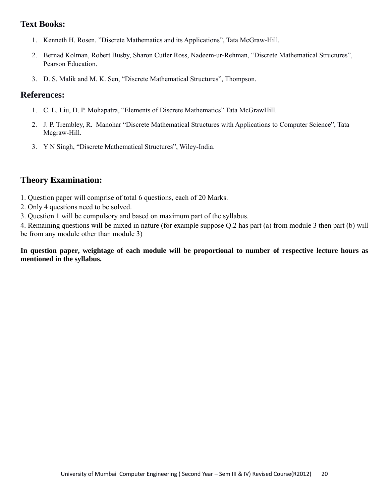- 1. Kenneth H. Rosen. "Discrete Mathematics and its Applications", Tata McGraw-Hill.
- 2. Bernad Kolman, Robert Busby, Sharon Cutler Ross, Nadeem-ur-Rehman, "Discrete Mathematical Structures", Pearson Education.
- 3. D. S. Malik and M. K. Sen, "Discrete Mathematical Structures", Thompson.

#### **References:**

- 1. C. L. Liu, D. P. Mohapatra, "Elements of Discrete Mathematics" Tata McGrawHill.
- 2. J. P. Trembley, R. Manohar "Discrete Mathematical Structures with Applications to Computer Science", Tata Mcgraw-Hill.
- 3. Y N Singh, "Discrete Mathematical Structures", Wiley-India.

## **Theory Examination:**

- 1. Question paper will comprise of total 6 questions, each of 20 Marks.
- 2. Only 4 questions need to be solved.
- 3. Question 1 will be compulsory and based on maximum part of the syllabus.

4. Remaining questions will be mixed in nature (for example suppose Q.2 has part (a) from module 3 then part (b) will be from any module other than module 3)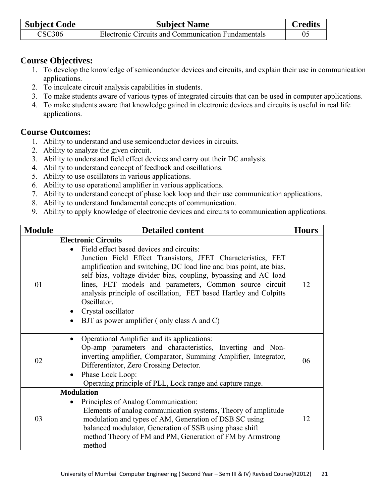| <b>Subject Code</b> | <b>Subject Name</b>                                | <b>Credits</b> |
|---------------------|----------------------------------------------------|----------------|
| <b>CSC306</b>       | Electronic Circuits and Communication Fundamentals | 05             |

# **Course Objectives:**

- 1. To develop the knowledge of semiconductor devices and circuits, and explain their use in communication applications.
- 2. To inculcate circuit analysis capabilities in students.
- 3. To make students aware of various types of integrated circuits that can be used in computer applications.
- 4. To make students aware that knowledge gained in electronic devices and circuits is useful in real life applications.

# **Course Outcomes:**

- 1. Ability to understand and use semiconductor devices in circuits.
- 2. Ability to analyze the given circuit.
- 3. Ability to understand field effect devices and carry out their DC analysis.
- 4. Ability to understand concept of feedback and oscillations.
- 5. Ability to use oscillators in various applications.
- 6. Ability to use operational amplifier in various applications.
- 7. Ability to understand concept of phase lock loop and their use communication applications.
- 8. Ability to understand fundamental concepts of communication.
- 9. Ability to apply knowledge of electronic devices and circuits to communication applications.

| <b>Module</b> | <b>Detailed content</b>                                                                                                                                                                                                                                                                                                                                                                                                                                                                               | <b>Hours</b> |
|---------------|-------------------------------------------------------------------------------------------------------------------------------------------------------------------------------------------------------------------------------------------------------------------------------------------------------------------------------------------------------------------------------------------------------------------------------------------------------------------------------------------------------|--------------|
| 01            | <b>Electronic Circuits</b><br>Field effect based devices and circuits:<br>Junction Field Effect Transistors, JFET Characteristics, FET<br>amplification and switching, DC load line and bias point, ate bias,<br>self bias, voltage divider bias, coupling, bypassing and AC load<br>lines, FET models and parameters, Common source circuit<br>analysis principle of oscillation, FET based Hartley and Colpitts<br>Oscillator.<br>Crystal oscillator<br>BJT as power amplifier (only class A and C) | 12           |
| 02            | Operational Amplifier and its applications:<br>Op-amp parameters and characteristics, Inverting and Non-<br>inverting amplifier, Comparator, Summing Amplifier, Integrator,<br>Differentiator, Zero Crossing Detector.<br>Phase Lock Loop:<br>$\bullet$<br>Operating principle of PLL, Lock range and capture range.                                                                                                                                                                                  | 06           |
| 03            | <b>Modulation</b><br>Principles of Analog Communication:<br>Elements of analog communication systems, Theory of amplitude<br>modulation and types of AM, Generation of DSB SC using<br>balanced modulator, Generation of SSB using phase shift<br>method Theory of FM and PM, Generation of FM by Armstrong<br>method                                                                                                                                                                                 | 12           |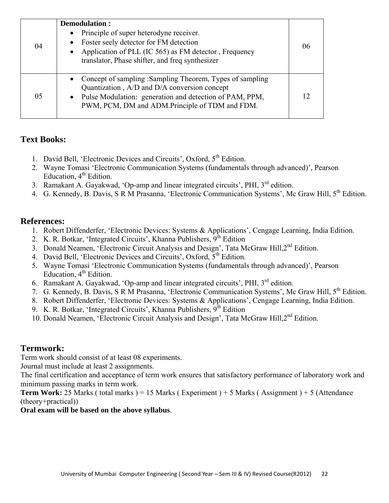| 04 | Demodulation:<br>• Principle of super heterodyne receiver.<br>Foster seely detector for FM detection<br>Application of PLL (IC 565) as FM detector, Frequency<br>translator, Phase shifter, and freq synthesizer          | 06 |
|----|---------------------------------------------------------------------------------------------------------------------------------------------------------------------------------------------------------------------------|----|
| 05 | • Concept of sampling :Sampling Theorem, Types of sampling<br>Quantization, A/D and D/A conversion concept<br>• Pulse Modulation: generation and detection of PAM, PPM,<br>PWM, PCM, DM and ADM.Principle of TDM and FDM. |    |

- 1. David Bell, 'Electronic Devices and Circuits', Oxford, 5<sup>th</sup> Edition.
- 2. Wayne Tomasi 'Electronic Communication Systems (fundamentals through advanced)', Pearson Education,  $4<sup>th</sup>$  Edition.
- 3. Ramakant A. Gayakwad, 'Op-amp and linear integrated circuits', PHI, 3<sup>rd</sup> edition.
- 4. G. Kennedy, B. Davis, S R M Prasanna, 'Electronic Communication Systems', Mc Graw Hill, 5<sup>th</sup> Edition.

### **References:**

- 1. Robert Diffenderfer, 'Electronic Devices: Systems & Applications', Cengage Learning, India Edition.
- 2. K. R. Botkar, 'Integrated Circuits', Khanna Publishers,  $9<sup>th</sup>$  Edition
- 3. Donald Neamen, 'Electronic Circuit Analysis and Design', Tata McGraw Hill, 2<sup>nd</sup> Edition.
- 4. David Bell, 'Electronic Devices and Circuits', Oxford, 5<sup>th</sup> Edition.
- 5. Wayne Tomasi 'Electronic Communication Systems (fundamentals through advanced)', Pearson Education,  $4<sup>th</sup>$  Edition.
- 6. Ramakant A. Gayakwad, 'Op-amp and linear integrated circuits', PHI, 3rd edition.
- 7. G. Kennedy, B. Davis, S R M Prasanna, 'Electronic Communication Systems', Mc Graw Hill, 5<sup>th</sup> Edition.
- 8. Robert Diffenderfer, 'Electronic Devices: Systems & Applications', Cengage Learning, India Edition.
- 9. K. R. Botkar, 'Integrated Circuits', Khanna Publishers,  $9<sup>th</sup>$  Edition
- 10. Donald Neamen, 'Electronic Circuit Analysis and Design', Tata McGraw Hill, 2<sup>nd</sup> Edition.

## **Termwork:**

Term work should consist of at least 08 experiments.

Journal must include at least 2 assignments.

The final certification and acceptance of term work ensures that satisfactory performance of laboratory work and minimum passing marks in term work.

**Term Work:** 25 Marks ( total marks ) = 15 Marks ( Experiment ) + 5 Marks ( Assignment ) + 5 (Attendance (theory+practical))

### **Oral exam will be based on the above syllabus**.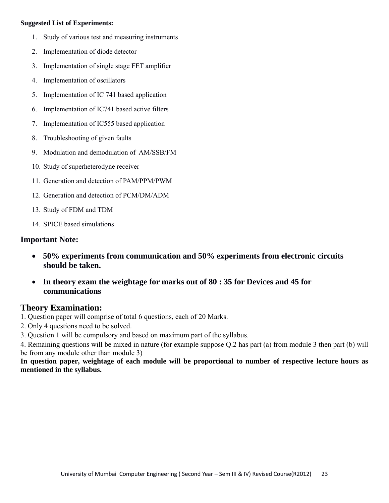#### **Suggested List of Experiments:**

- 1. Study of various test and measuring instruments
- 2. Implementation of diode detector
- 3. Implementation of single stage FET amplifier
- 4. Implementation of oscillators
- 5. Implementation of IC 741 based application
- 6. Implementation of IC741 based active filters
- 7. Implementation of IC555 based application
- 8. Troubleshooting of given faults
- 9. Modulation and demodulation of AM/SSB/FM
- 10. Study of superheterodyne receiver
- 11. Generation and detection of PAM/PPM/PWM
- 12. Generation and detection of PCM/DM/ADM
- 13. Study of FDM and TDM
- 14. SPICE based simulations

### **Important Note:**

- **50% experiments from communication and 50% experiments from electronic circuits should be taken.**
- **In theory exam the weightage for marks out of 80 : 35 for Devices and 45 for communications**

## **Theory Examination:**

- 1. Question paper will comprise of total 6 questions, each of 20 Marks.
- 2. Only 4 questions need to be solved.
- 3. Question 1 will be compulsory and based on maximum part of the syllabus.

4. Remaining questions will be mixed in nature (for example suppose Q.2 has part (a) from module 3 then part (b) will be from any module other than module 3)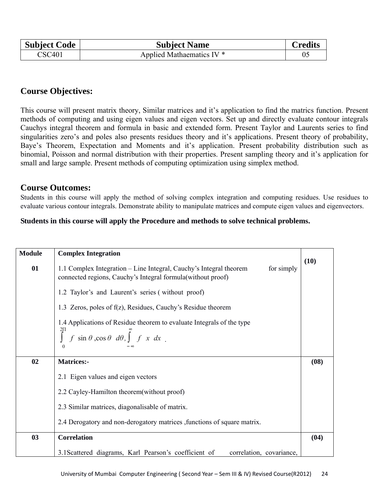| <b>Subject Code</b> | <b>Subject Name</b>       | <b>Credits</b> |
|---------------------|---------------------------|----------------|
| <b>CSC401</b>       | Applied Mathaematics IV * |                |

## **Course Objectives:**

This course will present matrix theory, Similar matrices and it's application to find the matrics function. Present methods of computing and using eigen values and eigen vectors. Set up and directly evaluate contour integrals Cauchys integral theorem and formula in basic and extended form. Present Taylor and Laurents series to find singularities zero's and poles also presents residues theory and it's applications. Present theory of probability, Baye's Theorem, Expectation and Moments and it's application. Present probability distribution such as binomial, Poisson and normal distribution with their properties. Present sampling theory and it's application for small and large sample. Present methods of computing optimization using simplex method.

### **Course Outcomes:**

Students in this course will apply the method of solving complex integration and computing residues. Use residues to evaluate various contour integrals. Demonstrate ability to manipulate matrices and compute eigen values and eigenvectors.

### **Students in this course will apply the Procedure and methods to solve technical problems.**

| <b>Module</b> | <b>Complex Integration</b>                                                                                                                                              |      |
|---------------|-------------------------------------------------------------------------------------------------------------------------------------------------------------------------|------|
| 01            | for simply<br>1.1 Complex Integration – Line Integral, Cauchy's Integral theorem<br>connected regions, Cauchy's Integral formula (without proof)                        | (10) |
|               | 1.2 Taylor's and Laurent's series (without proof)                                                                                                                       |      |
|               | 1.3 Zeros, poles of $f(z)$ , Residues, Cauchy's Residue theorem                                                                                                         |      |
|               | 1.4 Applications of Residue theorem to evaluate Integrals of the type<br>$\int_{0}^{2\Pi} f \sin \theta$ , $\cos \theta$ $d\theta$ , $\int_{-\infty}^{\infty} f x dx$ . |      |
| 02            | <b>Matrices:-</b>                                                                                                                                                       | (08) |
|               | 2.1 Eigen values and eigen vectors                                                                                                                                      |      |
|               | 2.2 Cayley-Hamilton theorem (without proof)                                                                                                                             |      |
|               | 2.3 Similar matrices, diagonalisable of matrix.                                                                                                                         |      |
|               | 2.4 Derogatory and non-derogatory matrices , functions of square matrix.                                                                                                |      |
| 03            | <b>Correlation</b>                                                                                                                                                      | (04) |
|               | 3.1 Scattered diagrams, Karl Pearson's coefficient of<br>correlation, covariance,                                                                                       |      |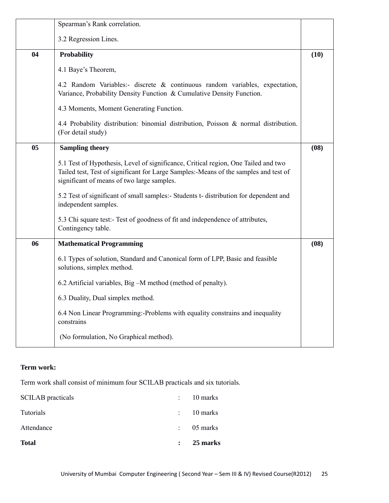|                | Spearman's Rank correlation.                                                                                                                                                                                             |      |
|----------------|--------------------------------------------------------------------------------------------------------------------------------------------------------------------------------------------------------------------------|------|
|                | 3.2 Regression Lines.                                                                                                                                                                                                    |      |
| 04             | <b>Probability</b>                                                                                                                                                                                                       | (10) |
|                | 4.1 Baye's Theorem,                                                                                                                                                                                                      |      |
|                | 4.2 Random Variables:- discrete & continuous random variables, expectation,<br>Variance, Probability Density Function & Cumulative Density Function.                                                                     |      |
|                | 4.3 Moments, Moment Generating Function.                                                                                                                                                                                 |      |
|                | 4.4 Probability distribution: binomial distribution, Poisson & normal distribution.<br>(For detail study)                                                                                                                |      |
| 0 <sub>5</sub> | <b>Sampling theory</b>                                                                                                                                                                                                   | (08) |
|                | 5.1 Test of Hypothesis, Level of significance, Critical region, One Tailed and two<br>Tailed test, Test of significant for Large Samples:-Means of the samples and test of<br>significant of means of two large samples. |      |
|                | 5.2 Test of significant of small samples:- Students t- distribution for dependent and<br>independent samples.                                                                                                            |      |
|                | 5.3 Chi square test:- Test of goodness of fit and independence of attributes,<br>Contingency table.                                                                                                                      |      |
| 06             | <b>Mathematical Programming</b>                                                                                                                                                                                          | (08) |
|                | 6.1 Types of solution, Standard and Canonical form of LPP, Basic and feasible<br>solutions, simplex method.                                                                                                              |      |
|                | 6.2 Artificial variables, Big -M method (method of penalty).                                                                                                                                                             |      |
|                | 6.3 Duality, Dual simplex method.                                                                                                                                                                                        |      |
|                | 6.4 Non Linear Programming:-Problems with equality constrains and inequality<br>constrains                                                                                                                               |      |
|                | (No formulation, No Graphical method).                                                                                                                                                                                   |      |

### **Term work:**

Term work shall consist of minimum four SCILAB practicals and six tutorials.

| <b>Total</b>             | 25 marks              |
|--------------------------|-----------------------|
| Attendance               | $\therefore$ 05 marks |
| Tutorials                | $\therefore$ 10 marks |
| <b>SCILAB</b> practicals | $\therefore$ 10 marks |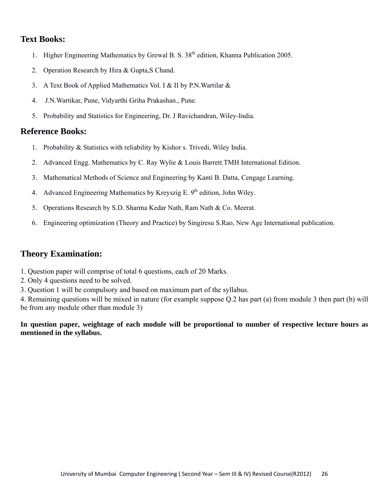- 1. Higher Engineering Mathematics by Grewal B. S. 38<sup>th</sup> edition, Khanna Publication 2005.
- 2. Operation Research by Hira & Gupta,S Chand.
- 3. A Text Book of Applied Mathematics Vol. I & II by P.N.Wartilar &
- 4. J.N.Wartikar, Pune, Vidyarthi Griha Prakashan., Pune.
- 5. Probability and Statistics for Engineering, Dr. J Ravichandran, Wiley-India.

#### **Reference Books:**

- 1. Probability & Statistics with reliability by Kishor s. Trivedi, Wiley India.
- 2. Advanced Engg. Mathematics by C. Ray Wylie & Louis Barrett.TMH International Edition.
- 3. Mathematical Methods of Science and Engineering by Kanti B. Datta, Cengage Learning.
- 4. Advanced Engineering Mathematics by Kreyszig E.  $9<sup>th</sup>$  edition, John Wiley.
- 5. Operations Research by S.D. Sharma Kedar Nath, Ram Nath & Co. Meerat.
- 6. Engineering optimization (Theory and Practice) by Singiresu S.Rao, New Age International publication.

### **Theory Examination:**

- 1. Question paper will comprise of total 6 questions, each of 20 Marks.
- 2. Only 4 questions need to be solved.
- 3. Question 1 will be compulsory and based on maximum part of the syllabus.

4. Remaining questions will be mixed in nature (for example suppose Q.2 has part (a) from module 3 then part (b) will be from any module other than module 3)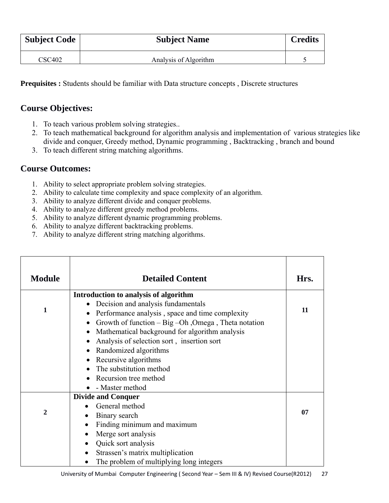| <b>Subject Code</b> | <b>Subject Name</b>   | <b>Credits</b> |
|---------------------|-----------------------|----------------|
| <b>CSC402</b>       | Analysis of Algorithm |                |

**Prequisites :** Students should be familiar with Data structure concepts , Discrete structures

# **Course Objectives:**

- 1. To teach various problem solving strategies..
- 2. To teach mathematical background for algorithm analysis and implementation of various strategies like divide and conquer, Greedy method, Dynamic programming , Backtracking , branch and bound
- 3. To teach different string matching algorithms.

# **Course Outcomes:**

- 1. Ability to select appropriate problem solving strategies.
- 2. Ability to calculate time complexity and space complexity of an algorithm.
- 3. Ability to analyze different divide and conquer problems.
- 4. Ability to analyze different greedy method problems.
- 5. Ability to analyze different dynamic programming problems.
- 6. Ability to analyze different backtracking problems.
- 7. Ability to analyze different string matching algorithms.

| <b>Module</b> | <b>Detailed Content</b>                                                                                                                                                                                                                                                                                                                                                                         | Hrs. |
|---------------|-------------------------------------------------------------------------------------------------------------------------------------------------------------------------------------------------------------------------------------------------------------------------------------------------------------------------------------------------------------------------------------------------|------|
| 1             | Introduction to analysis of algorithm<br>Decision and analysis fundamentals<br>Performance analysis, space and time complexity<br>Growth of function $-$ Big $-$ Oh, Omega, Theta notation<br>Mathematical background for algorithm analysis<br>Analysis of selection sort, insertion sort<br>Randomized algorithms<br>Recursive algorithms<br>The substitution method<br>Recursion tree method | 11   |
|               | - Master method                                                                                                                                                                                                                                                                                                                                                                                 |      |
| 2             | <b>Divide and Conquer</b><br>General method<br>Binary search<br>$\bullet$<br>Finding minimum and maximum<br>$\bullet$                                                                                                                                                                                                                                                                           | 07   |
|               | Merge sort analysis<br>$\bullet$<br>Quick sort analysis<br>$\bullet$<br>Strassen's matrix multiplication<br>$\bullet$<br>The problem of multiplying long integers                                                                                                                                                                                                                               |      |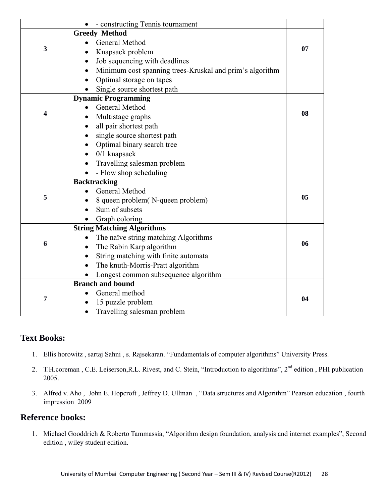|   | - constructing Tennis tournament<br>$\bullet$            |    |
|---|----------------------------------------------------------|----|
|   | <b>Greedy Method</b>                                     |    |
|   | General Method<br>$\bullet$                              |    |
| 3 | Knapsack problem<br>$\bullet$                            | 07 |
|   | Job sequencing with deadlines<br>$\bullet$               |    |
|   | Minimum cost spanning trees-Kruskal and prim's algorithm |    |
|   | Optimal storage on tapes<br>$\bullet$                    |    |
|   | Single source shortest path                              |    |
|   | <b>Dynamic Programming</b>                               |    |
|   | General Method                                           |    |
| 4 | Multistage graphs                                        | 08 |
|   | all pair shortest path                                   |    |
|   | single source shortest path                              |    |
|   | Optimal binary search tree                               |    |
|   | $0/1$ knapsack                                           |    |
|   | Travelling salesman problem                              |    |
|   | - Flow shop scheduling                                   |    |
|   | <b>Backtracking</b>                                      |    |
|   | General Method<br>$\bullet$                              |    |
| 5 | 8 queen problem(N-queen problem)                         | 05 |
|   | Sum of subsets                                           |    |
|   | Graph coloring                                           |    |
|   | <b>String Matching Algorithms</b>                        |    |
|   | The naïve string matching Algorithms                     |    |
| 6 | The Rabin Karp algorithm<br>$\bullet$                    | 06 |
|   | String matching with finite automata<br>$\bullet$        |    |
|   | The knuth-Morris-Pratt algorithm<br>$\bullet$            |    |
|   | Longest common subsequence algorithm                     |    |
|   | <b>Branch and bound</b>                                  |    |
|   | General method                                           |    |
| 7 | 15 puzzle problem                                        | 04 |
|   | Travelling salesman problem<br>$\bullet$                 |    |

- 1. Ellis horowitz , sartaj Sahni , s. Rajsekaran. "Fundamentals of computer algorithms" University Press.
- 2. T.H.coreman, C.E. Leiserson,R.L. Rivest, and C. Stein, "Introduction to algorithms", 2<sup>nd</sup> edition, PHI publication 2005.
- 3. Alfred v. Aho , John E. Hopcroft , Jeffrey D. Ullman , "Data structures and Algorithm" Pearson education , fourth impression 2009

## **Reference books:**

1. Michael Gooddrich & Roberto Tammassia, "Algorithm design foundation, analysis and internet examples", Second edition , wiley student edition.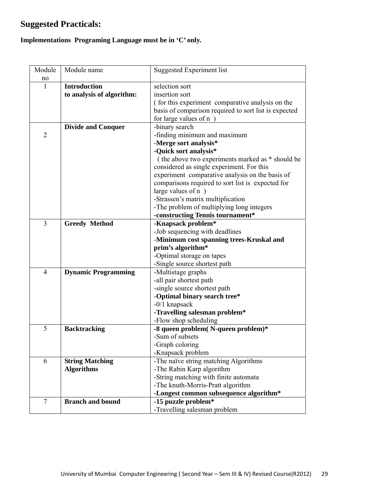# **Suggested Practicals:**

# **Implementations Programing Language must be in 'C' only.**

| Module         | Module name                | <b>Suggested Experiment list</b>                      |
|----------------|----------------------------|-------------------------------------------------------|
| no             |                            |                                                       |
| 1              | <b>Introduction</b>        | selection sort                                        |
|                | to analysis of algorithm:  | insertion sort                                        |
|                |                            | (for this experiment comparative analysis on the      |
|                |                            | basis of comparison required to sort list is expected |
|                |                            | for large values of n                                 |
|                | <b>Divide and Conquer</b>  | -binary search                                        |
| $\overline{2}$ |                            | -finding minimum and maximum                          |
|                |                            | -Merge sort analysis*                                 |
|                |                            | -Quick sort analysis*                                 |
|                |                            | (the above two experiments marked as $*$ should be    |
|                |                            | considered as single experiment. For this             |
|                |                            | experiment comparative analysis on the basis of       |
|                |                            | comparisons required to sort list is expected for     |
|                |                            | large values of $n$ )                                 |
|                |                            | -Strassen's matrix multiplication                     |
|                |                            | -The problem of multiplying long integers             |
|                |                            | -constructing Tennis tournament*                      |
| 3              | <b>Greedy Method</b>       | -Knapsack problem*                                    |
|                |                            | -Job sequencing with deadlines                        |
|                |                            | -Minimum cost spanning trees-Kruskal and              |
|                |                            | prim's algorithm*                                     |
|                |                            | -Optimal storage on tapes                             |
|                |                            | -Single source shortest path                          |
| $\overline{4}$ | <b>Dynamic Programming</b> | -Multistage graphs                                    |
|                |                            | -all pair shortest path                               |
|                |                            | -single source shortest path                          |
|                |                            | -Optimal binary search tree*                          |
|                |                            | $-0/1$ knapsack                                       |
|                |                            | -Travelling salesman problem*                         |
|                |                            | -Flow shop scheduling                                 |
| 5              | <b>Backtracking</b>        | -8 queen problem(N-queen problem)*                    |
|                |                            | -Sum of subsets                                       |
|                |                            | -Graph coloring                                       |
|                |                            | -Knapsack problem                                     |
| 6              | <b>String Matching</b>     | -The naïve string matching Algorithms                 |
|                | <b>Algorithms</b>          | -The Rabin Karp algorithm                             |
|                |                            | -String matching with finite automata                 |
|                |                            | -The knuth-Morris-Pratt algorithm                     |
|                |                            | -Longest common subsequence algorithm*                |
| $\tau$         | <b>Branch and bound</b>    | -15 puzzle problem*                                   |
|                |                            | -Travelling salesman problem                          |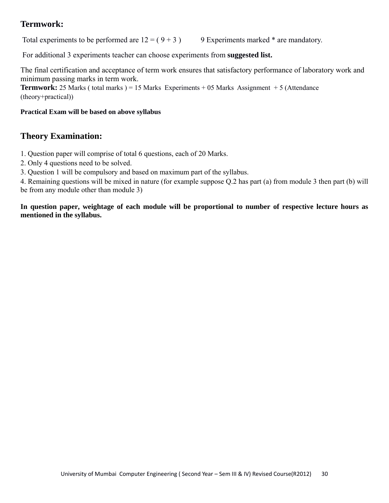# **Termwork:**

Total experiments to be performed are  $12 = (9 + 3)$  9 Experiments marked  $*$  are mandatory.

For additional 3 experiments teacher can choose experiments from **suggested list.** 

The final certification and acceptance of term work ensures that satisfactory performance of laboratory work and minimum passing marks in term work.

**Termwork:** 25 Marks ( total marks ) = 15 Marks Experiments  $+ 05$  Marks Assignment  $+ 5$  (Attendance (theory+practical))

#### **Practical Exam will be based on above syllabus**

# **Theory Examination:**

1. Question paper will comprise of total 6 questions, each of 20 Marks.

2. Only 4 questions need to be solved.

3. Question 1 will be compulsory and based on maximum part of the syllabus.

4. Remaining questions will be mixed in nature (for example suppose Q.2 has part (a) from module 3 then part (b) will be from any module other than module 3)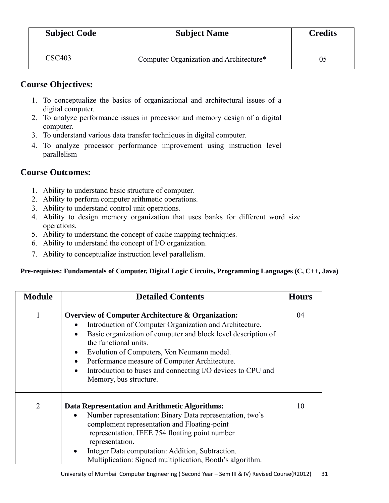| <b>Subject Code</b> | <b>Subject Name</b>                     | <b>Credits</b> |
|---------------------|-----------------------------------------|----------------|
|                     |                                         |                |
| CSC <sub>403</sub>  | Computer Organization and Architecture* | U5             |

# **Course Objectives:**

- 1. To conceptualize the basics of organizational and architectural issues of a digital computer.
- 2. To analyze performance issues in processor and memory design of a digital computer.
- 3. To understand various data transfer techniques in digital computer.
- 4. To analyze processor performance improvement using instruction level parallelism

# **Course Outcomes:**

- 1. Ability to understand basic structure of computer.
- 2. Ability to perform computer arithmetic operations.
- 3. Ability to understand control unit operations.
- 4. Ability to design memory organization that uses banks for different word size operations.
- 5. Ability to understand the concept of cache mapping techniques.
- 6. Ability to understand the concept of I/O organization.
- 7. Ability to conceptualize instruction level parallelism.

### **Pre-requistes: Fundamentals of Computer, Digital Logic Circuits, Programming Languages (C, C++, Java)**

| <b>Module</b>  | <b>Detailed Contents</b>                                                                                                                                                                                                                                                                                                                                                                                               | <b>Hours</b> |
|----------------|------------------------------------------------------------------------------------------------------------------------------------------------------------------------------------------------------------------------------------------------------------------------------------------------------------------------------------------------------------------------------------------------------------------------|--------------|
| 1              | <b>Overview of Computer Architecture &amp; Organization:</b><br>Introduction of Computer Organization and Architecture.<br>Basic organization of computer and block level description of<br>the functional units.<br>Evolution of Computers, Von Neumann model.<br>Performance measure of Computer Architecture.<br>$\bullet$<br>Introduction to buses and connecting I/O devices to CPU and<br>Memory, bus structure. | 04           |
| $\overline{2}$ | Data Representation and Arithmetic Algorithms:<br>Number representation: Binary Data representation, two's<br>complement representation and Floating-point<br>representation. IEEE 754 floating point number<br>representation.<br>Integer Data computation: Addition, Subtraction.<br>Multiplication: Signed multiplication, Booth's algorithm.                                                                       | 10           |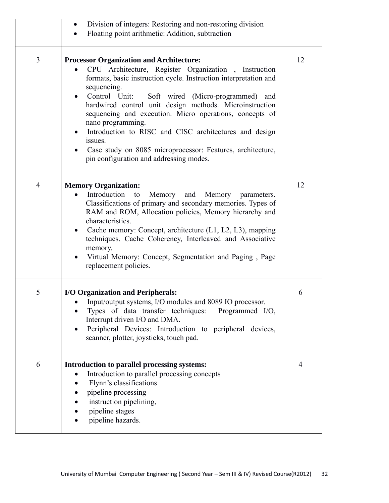|                | Division of integers: Restoring and non-restoring division<br>Floating point arithmetic: Addition, subtraction                                                                                                                                                                                                                                                                                                                                                                                                                                                         |    |
|----------------|------------------------------------------------------------------------------------------------------------------------------------------------------------------------------------------------------------------------------------------------------------------------------------------------------------------------------------------------------------------------------------------------------------------------------------------------------------------------------------------------------------------------------------------------------------------------|----|
| $\overline{3}$ | <b>Processor Organization and Architecture:</b><br>CPU Architecture, Register Organization, Instruction<br>formats, basic instruction cycle. Instruction interpretation and<br>sequencing.<br>Control Unit: Soft wired (Micro-programmed) and<br>hardwired control unit design methods. Microinstruction<br>sequencing and execution. Micro operations, concepts of<br>nano programming.<br>Introduction to RISC and CISC architectures and design<br>issues.<br>Case study on 8085 microprocessor: Features, architecture,<br>pin configuration and addressing modes. | 12 |
| $\overline{4}$ | <b>Memory Organization:</b><br>Introduction<br>Memory<br>to<br>and<br>Memory parameters.<br>Classifications of primary and secondary memories. Types of<br>RAM and ROM, Allocation policies, Memory hierarchy and<br>characteristics.<br>Cache memory: Concept, architecture (L1, L2, L3), mapping<br>techniques. Cache Coherency, Interleaved and Associative<br>memory.<br>Virtual Memory: Concept, Segmentation and Paging, Page<br>replacement policies.                                                                                                           | 12 |
| 5              | I/O Organization and Peripherals:<br>• Input/output systems, I/O modules and 8089 IO processor.<br>Types of data transfer techniques:<br>Programmed I/O,<br>Interrupt driven I/O and DMA.<br>Peripheral Devices: Introduction to peripheral devices,<br>scanner, plotter, joysticks, touch pad.                                                                                                                                                                                                                                                                        | 6  |
| 6              | Introduction to parallel processing systems:<br>Introduction to parallel processing concepts<br>Flynn's classifications<br>pipeline processing<br>instruction pipelining,<br>pipeline stages<br>pipeline hazards.                                                                                                                                                                                                                                                                                                                                                      | 4  |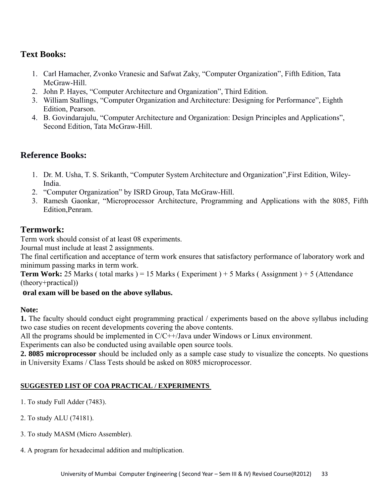- 1. Carl Hamacher, Zvonko Vranesic and Safwat Zaky, "Computer Organization", Fifth Edition, Tata McGraw-Hill
- 2. John P. Hayes, "Computer Architecture and Organization", Third Edition.
- 3. William Stallings, "Computer Organization and Architecture: Designing for Performance", Eighth Edition, Pearson.
- 4. B. Govindarajulu, "Computer Architecture and Organization: Design Principles and Applications", Second Edition, Tata McGraw-Hill.

# **Reference Books:**

- 1. Dr. M. Usha, T. S. Srikanth, "Computer System Architecture and Organization",First Edition, Wiley-India.
- 2. "Computer Organization" by ISRD Group, Tata McGraw-Hill.
- 3. Ramesh Gaonkar, "Microprocessor Architecture, Programming and Applications with the 8085, Fifth Edition,Penram.

# **Termwork:**

Term work should consist of at least 08 experiments.

Journal must include at least 2 assignments.

The final certification and acceptance of term work ensures that satisfactory performance of laboratory work and minimum passing marks in term work.

**Term Work:** 25 Marks ( total marks ) = 15 Marks ( Experiment ) + 5 Marks ( Assignment ) + 5 (Attendance (theory+practical))

### **oral exam will be based on the above syllabus.**

### **Note:**

**1.** The faculty should conduct eight programming practical / experiments based on the above syllabus including two case studies on recent developments covering the above contents.

All the programs should be implemented in  $C/C++$ /Java under Windows or Linux environment.

Experiments can also be conducted using available open source tools.

**2. 8085 microprocessor** should be included only as a sample case study to visualize the concepts. No questions in University Exams / Class Tests should be asked on 8085 microprocessor.

### **SUGGESTED LIST OF COA PRACTICAL / EXPERIMENTS**

- 1. To study Full Adder (7483).
- 2. To study ALU (74181).
- 3. To study MASM (Micro Assembler).
- 4. A program for hexadecimal addition and multiplication.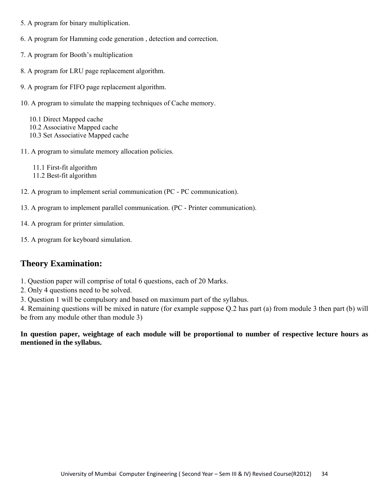- 5. A program for binary multiplication.
- 6. A program for Hamming code generation , detection and correction.
- 7. A program for Booth's multiplication
- 8. A program for LRU page replacement algorithm.
- 9. A program for FIFO page replacement algorithm.
- 10. A program to simulate the mapping techniques of Cache memory.

 10.1 Direct Mapped cache 10.2 Associative Mapped cache 10.3 Set Associative Mapped cache

11. A program to simulate memory allocation policies.

11.1 First-fit algorithm

- 11.2 Best-fit algorithm
- 12. A program to implement serial communication (PC PC communication).
- 13. A program to implement parallel communication. (PC Printer communication).
- 14. A program for printer simulation.
- 15. A program for keyboard simulation.

# **Theory Examination:**

- 1. Question paper will comprise of total 6 questions, each of 20 Marks.
- 2. Only 4 questions need to be solved.
- 3. Question 1 will be compulsory and based on maximum part of the syllabus.

4. Remaining questions will be mixed in nature (for example suppose Q.2 has part (a) from module 3 then part (b) will be from any module other than module 3)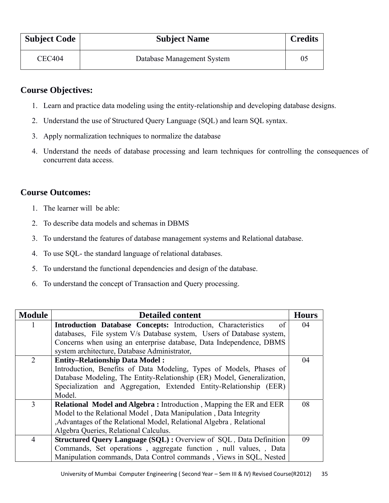| <b>Subject Code</b> | <b>Subject Name</b>        | <b>Credits</b> |
|---------------------|----------------------------|----------------|
| CEC404              | Database Management System | 0 <sup>5</sup> |

# **Course Objectives:**

- 1. Learn and practice data modeling using the entity-relationship and developing database designs.
- 2. Understand the use of Structured Query Language (SQL) and learn SQL syntax.
- 3. Apply normalization techniques to normalize the database
- 4. Understand the needs of database processing and learn techniques for controlling the consequences of concurrent data access.

## **Course Outcomes:**

- 1. The learner will be able:
- 2. To describe data models and schemas in DBMS
- 3. To understand the features of database management systems and Relational database.
- 4. To use SQL- the standard language of relational databases.
- 5. To understand the functional dependencies and design of the database.
- 6. To understand the concept of Transaction and Query processing.

| <b>Module</b>  | <b>Detailed content</b>                                                   | <b>Hours</b> |
|----------------|---------------------------------------------------------------------------|--------------|
| 1              | Introduction Database Concepts: Introduction, Characteristics<br>of       | 04           |
|                | databases, File system V/s Database system, Users of Database system,     |              |
|                | Concerns when using an enterprise database, Data Independence, DBMS       |              |
|                | system architecture, Database Administrator,                              |              |
| $\overline{2}$ | <b>Entity-Relationship Data Model:</b>                                    | 04           |
|                | Introduction, Benefits of Data Modeling, Types of Models, Phases of       |              |
|                | Database Modeling, The Entity-Relationship (ER) Model, Generalization,    |              |
|                | Specialization and Aggregation, Extended Entity-Relationship (EER)        |              |
|                | Model.                                                                    |              |
| 3              | <b>Relational Model and Algebra:</b> Introduction, Mapping the ER and EER | 08           |
|                | Model to the Relational Model, Data Manipulation, Data Integrity          |              |
|                | ,Advantages of the Relational Model, Relational Algebra, Relational       |              |
|                | Algebra Queries, Relational Calculus.                                     |              |
| $\overline{4}$ | <b>Structured Query Language (SQL) : Overview of SQL, Data Definition</b> | 09           |
|                | Commands, Set operations, aggregate function, null values, , Data         |              |
|                | Manipulation commands, Data Control commands, Views in SQL, Nested        |              |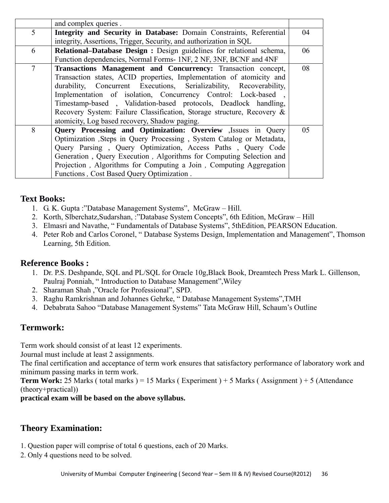|                 | and complex queries.                                                                                                                                                                                                                                                                                                                                                                                                                                                        |    |
|-----------------|-----------------------------------------------------------------------------------------------------------------------------------------------------------------------------------------------------------------------------------------------------------------------------------------------------------------------------------------------------------------------------------------------------------------------------------------------------------------------------|----|
| $5\overline{)}$ | Integrity and Security in Database: Domain Constraints, Referential<br>integrity, Assertions, Trigger, Security, and authorization in SQL                                                                                                                                                                                                                                                                                                                                   | 04 |
| 6               | Relational-Database Design : Design guidelines for relational schema,<br>Function dependencies, Normal Forms- 1NF, 2 NF, 3NF, BCNF and 4NF                                                                                                                                                                                                                                                                                                                                  | 06 |
| $\tau$          | Transactions Management and Concurrency: Transaction concept,<br>Transaction states, ACID properties, Implementation of atomicity and<br>durability, Concurrent Executions, Serializability, Recoverability,<br>Implementation of isolation, Concurrency Control: Lock-based,<br>Timestamp-based, Validation-based protocols, Deadlock handling,<br>Recovery System: Failure Classification, Storage structure, Recovery &<br>atomicity, Log based recovery, Shadow paging. | 08 |
| 8               | Query Processing and Optimization: Overview , Issues in Query<br>Optimization , Steps in Query Processing, System Catalog or Metadata,<br>Query Parsing, Query Optimization, Access Paths, Query Code<br>Generation, Query Execution, Algorithms for Computing Selection and<br>Projection, Algorithms for Computing a Join, Computing Aggregation<br>Functions, Cost Based Query Optimization.                                                                             | 05 |

- 1. G. K. Gupta :"Database Management Systems", McGraw Hill.
- 2. Korth, Slberchatz,Sudarshan, :"Database System Concepts", 6th Edition, McGraw Hill
- 3. Elmasri and Navathe, " Fundamentals of Database Systems", 5thEdition, PEARSON Education.
- 4. Peter Rob and Carlos Coronel, " Database Systems Design, Implementation and Management", Thomson Learning, 5th Edition.

### **Reference Books :**

- 1. Dr. P.S. Deshpande, SQL and PL/SQL for Oracle 10g,Black Book, Dreamtech Press Mark L. Gillenson, Paulraj Ponniah, " Introduction to Database Management",Wiley
- 2. Sharaman Shah ,"Oracle for Professional", SPD.
- 3. Raghu Ramkrishnan and Johannes Gehrke, " Database Management Systems",TMH
- 4. Debabrata Sahoo "Database Management Systems" Tata McGraw Hill, Schaum's Outline

## **Termwork:**

Term work should consist of at least 12 experiments.

Journal must include at least 2 assignments.

The final certification and acceptance of term work ensures that satisfactory performance of laboratory work and minimum passing marks in term work.

**Term Work:** 25 Marks ( total marks ) = 15 Marks ( Experiment ) + 5 Marks ( Assignment ) + 5 (Attendance (theory+practical))

### **practical exam will be based on the above syllabus.**

## **Theory Examination:**

- 1. Question paper will comprise of total 6 questions, each of 20 Marks.
- 2. Only 4 questions need to be solved.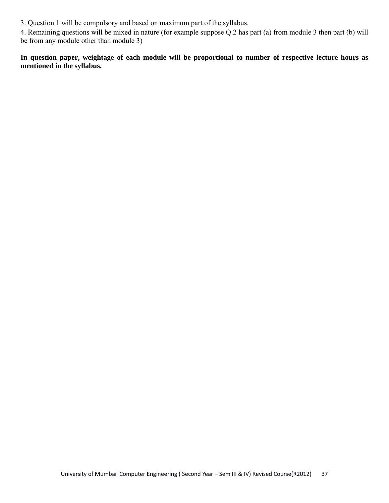3. Question 1 will be compulsory and based on maximum part of the syllabus.

4. Remaining questions will be mixed in nature (for example suppose Q.2 has part (a) from module 3 then part (b) will be from any module other than module 3)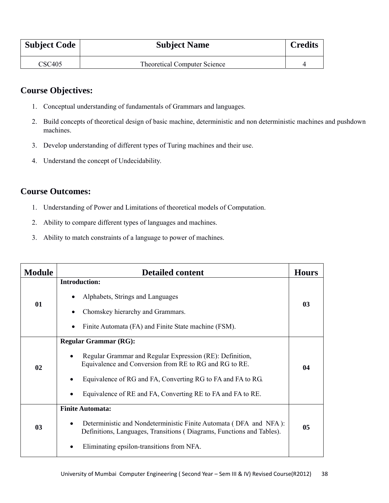| <b>Subject Code</b> | <b>Subject Name</b>                 | <b>Credits</b> |
|---------------------|-------------------------------------|----------------|
| $\text{CSC}405$     | <b>Theoretical Computer Science</b> |                |

# **Course Objectives:**

- 1. Conceptual understanding of fundamentals of Grammars and languages.
- 2. Build concepts of theoretical design of basic machine, deterministic and non deterministic machines and pushdown machines.
- 3. Develop understanding of different types of Turing machines and their use.
- 4. Understand the concept of Undecidability.

# **Course Outcomes:**

- 1. Understanding of Power and Limitations of theoretical models of Computation.
- 2. Ability to compare different types of languages and machines.
- 3. Ability to match constraints of a language to power of machines.

| <b>Module</b> | <b>Detailed content</b>                                                                                                                                                                                                                                                                                    | <b>Hours</b> |
|---------------|------------------------------------------------------------------------------------------------------------------------------------------------------------------------------------------------------------------------------------------------------------------------------------------------------------|--------------|
| 01            | <b>Introduction:</b><br>Alphabets, Strings and Languages<br>Chomskey hierarchy and Grammars.<br>Finite Automata (FA) and Finite State machine (FSM).                                                                                                                                                       | 03           |
| 02            | <b>Regular Grammar (RG):</b><br>Regular Grammar and Regular Expression (RE): Definition,<br>$\bullet$<br>Equivalence and Conversion from RE to RG and RG to RE.<br>Equivalence of RG and FA, Converting RG to FA and FA to RG.<br>$\bullet$<br>Equivalence of RE and FA, Converting RE to FA and FA to RE. | 04           |
| 03            | <b>Finite Automata:</b><br>Deterministic and Nondeterministic Finite Automata (DFA and NFA):<br>Definitions, Languages, Transitions (Diagrams, Functions and Tables).<br>Eliminating epsilon-transitions from NFA.<br>$\bullet$                                                                            | 05           |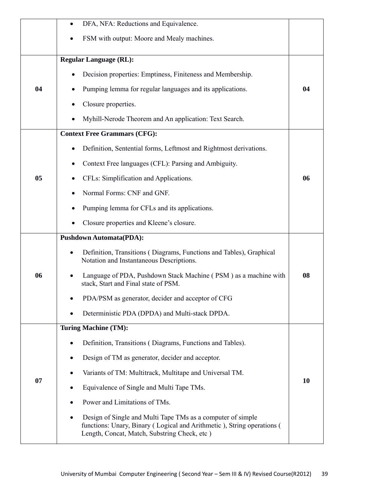|    | DFA, NFA: Reductions and Equivalence.                                                                                                                                                 |    |
|----|---------------------------------------------------------------------------------------------------------------------------------------------------------------------------------------|----|
|    | FSM with output: Moore and Mealy machines.                                                                                                                                            |    |
|    | <b>Regular Language (RL):</b>                                                                                                                                                         |    |
|    | Decision properties: Emptiness, Finiteness and Membership.                                                                                                                            |    |
| 04 | Pumping lemma for regular languages and its applications.                                                                                                                             | 04 |
|    | Closure properties.                                                                                                                                                                   |    |
|    | Myhill-Nerode Theorem and An application: Text Search.                                                                                                                                |    |
|    | <b>Context Free Grammars (CFG):</b>                                                                                                                                                   |    |
|    | Definition, Sentential forms, Leftmost and Rightmost derivations.                                                                                                                     |    |
|    | Context Free languages (CFL): Parsing and Ambiguity.                                                                                                                                  |    |
| 05 | CFLs: Simplification and Applications.                                                                                                                                                | 06 |
|    | Normal Forms: CNF and GNF.                                                                                                                                                            |    |
|    | Pumping lemma for CFLs and its applications.                                                                                                                                          |    |
|    | Closure properties and Kleene's closure.                                                                                                                                              |    |
|    | <b>Pushdown Automata(PDA):</b>                                                                                                                                                        |    |
|    | Definition, Transitions (Diagrams, Functions and Tables), Graphical<br>$\bullet$<br>Notation and Instantaneous Descriptions.                                                          | 08 |
| 06 | Language of PDA, Pushdown Stack Machine (PSM) as a machine with<br>stack, Start and Final state of PSM.                                                                               |    |
|    | PDA/PSM as generator, decider and acceptor of CFG                                                                                                                                     |    |
|    | Deterministic PDA (DPDA) and Multi-stack DPDA.                                                                                                                                        |    |
|    | <b>Turing Machine (TM):</b>                                                                                                                                                           |    |
|    | Definition, Transitions (Diagrams, Functions and Tables).                                                                                                                             |    |
|    | Design of TM as generator, decider and acceptor.                                                                                                                                      |    |
|    | Variants of TM: Multitrack, Multitape and Universal TM.                                                                                                                               |    |
| 07 | Equivalence of Single and Multi Tape TMs.                                                                                                                                             | 10 |
|    | Power and Limitations of TMs.                                                                                                                                                         |    |
|    | Design of Single and Multi Tape TMs as a computer of simple<br>functions: Unary, Binary (Logical and Arithmetic), String operations (<br>Length, Concat, Match, Substring Check, etc) |    |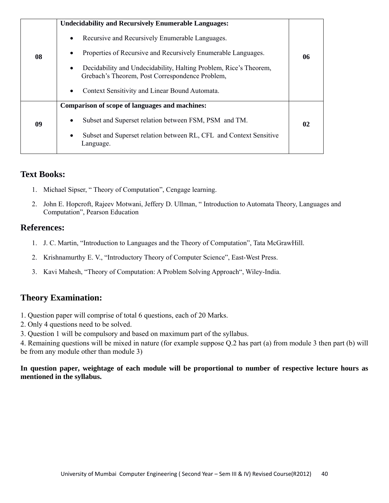|    | <b>Undecidability and Recursively Enumerable Languages:</b>                                                                       |    |
|----|-----------------------------------------------------------------------------------------------------------------------------------|----|
| 08 | Recursive and Recursively Enumerable Languages.<br>$\bullet$                                                                      |    |
|    | Properties of Recursive and Recursively Enumerable Languages.<br>$\bullet$                                                        | 06 |
|    | Decidability and Undecidability, Halting Problem, Rice's Theorem,<br>$\bullet$<br>Grebach's Theorem, Post Correspondence Problem, |    |
|    | Context Sensitivity and Linear Bound Automata.<br>$\bullet$                                                                       |    |
| 09 | Comparison of scope of languages and machines:                                                                                    |    |
|    | Subset and Superset relation between FSM, PSM and TM.<br>$\bullet$                                                                | 02 |
|    | Subset and Superset relation between RL, CFL and Context Sensitive<br>$\bullet$<br>Language.                                      |    |

- 1. Michael Sipser, " Theory of Computation", Cengage learning.
- 2. John E. Hopcroft, Rajeev Motwani, Jeffery D. Ullman, " Introduction to Automata Theory, Languages and Computation", Pearson Education

### **References:**

- 1. J. C. Martin, "Introduction to Languages and the Theory of Computation", Tata McGrawHill.
- 2. Krishnamurthy E. V., "Introductory Theory of Computer Science", East-West Press.
- 3. Kavi Mahesh, "Theory of Computation: A Problem Solving Approach", Wiley-India.

# **Theory Examination:**

- 1. Question paper will comprise of total 6 questions, each of 20 Marks.
- 2. Only 4 questions need to be solved.
- 3. Question 1 will be compulsory and based on maximum part of the syllabus.

4. Remaining questions will be mixed in nature (for example suppose Q.2 has part (a) from module 3 then part (b) will be from any module other than module 3)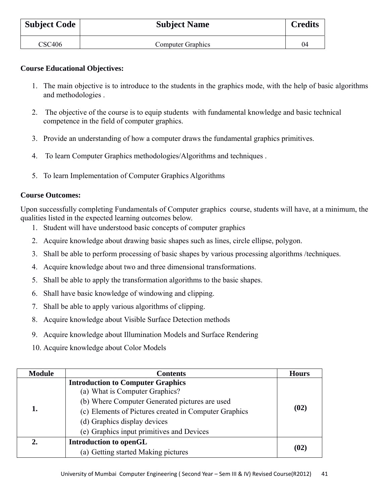| <b>Subject Code</b> | <b>Subject Name</b>      | <b>Credits</b> |
|---------------------|--------------------------|----------------|
| CSC406              | <b>Computer Graphics</b> | 04             |

#### **Course Educational Objectives:**

- 1. The main objective is to introduce to the students in the graphics mode, with the help of basic algorithms and methodologies .
- 2. The objective of the course is to equip students with fundamental knowledge and basic technical competence in the field of computer graphics.
- 3. Provide an understanding of how a computer draws the fundamental graphics primitives.
- 4. To learn Computer Graphics methodologies/Algorithms and techniques .
- 5. To learn Implementation of Computer Graphics Algorithms

#### **Course Outcomes:**

Upon successfully completing Fundamentals of Computer graphics course, students will have, at a minimum, the qualities listed in the expected learning outcomes below.

- 1. Student will have understood basic concepts of computer graphics
- 2. Acquire knowledge about drawing basic shapes such as lines, circle ellipse, polygon.
- 3. Shall be able to perform processing of basic shapes by various processing algorithms /techniques.
- 4. Acquire knowledge about two and three dimensional transformations.
- 5. Shall be able to apply the transformation algorithms to the basic shapes.
- 6. Shall have basic knowledge of windowing and clipping.
- 7. Shall be able to apply various algorithms of clipping.
- 8. Acquire knowledge about Visible Surface Detection methods
- 9. Acquire knowledge about Illumination Models and Surface Rendering
- 10. Acquire knowledge about Color Models

| <b>Module</b> | <b>Contents</b>                                                            | <b>Hours</b> |
|---------------|----------------------------------------------------------------------------|--------------|
|               | <b>Introduction to Computer Graphics</b><br>(a) What is Computer Graphics? | (02)         |
|               | (b) Where Computer Generated pictures are used                             |              |
| 1.            | (c) Elements of Pictures created in Computer Graphics                      |              |
|               | (d) Graphics display devices                                               |              |
|               | (e) Graphics input primitives and Devices                                  |              |
|               | <b>Introduction to openGL</b>                                              | (02)         |
|               | (a) Getting started Making pictures                                        |              |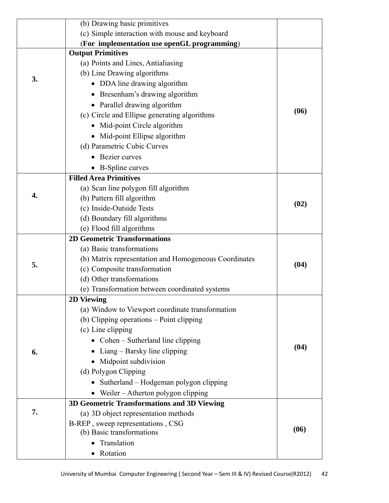|    | (b) Drawing basic primitives                          |      |
|----|-------------------------------------------------------|------|
|    | (c) Simple interaction with mouse and keyboard        |      |
|    | (For implementation use openGL programming)           |      |
|    | <b>Output Primitives</b>                              |      |
|    | (a) Points and Lines, Antialiasing                    |      |
| 3. | (b) Line Drawing algorithms                           |      |
|    | DDA line drawing algorithm                            |      |
|    | Bresenham's drawing algorithm                         |      |
|    | • Parallel drawing algorithm                          |      |
|    | (c) Circle and Ellipse generating algorithms          | (06) |
|    | Mid-point Circle algorithm                            |      |
|    | • Mid-point Ellipse algorithm                         |      |
|    | (d) Parametric Cubic Curves                           |      |
|    | Bezier curves                                         |      |
|    | • B-Spline curves                                     |      |
|    | <b>Filled Area Primitives</b>                         |      |
|    | (a) Scan line polygon fill algorithm                  |      |
| 4. | (b) Pattern fill algorithm                            |      |
|    | (c) Inside-Outside Tests                              | (02) |
|    | (d) Boundary fill algorithms                          |      |
|    | (e) Flood fill algorithms                             |      |
|    | <b>2D Geometric Transformations</b>                   |      |
|    | (a) Basic transformations                             |      |
|    | (b) Matrix representation and Homogeneous Coordinates |      |
| 5. | (c) Composite transformation                          | (04) |
|    | (d) Other transformations                             |      |
|    | (e) Transformation between coordinated systems        |      |
|    | <b>2D Viewing</b>                                     |      |
|    | (a) Window to Viewport coordinate transformation      |      |
|    | (b) Clipping operations – Point clipping              |      |
|    | (c) Line clipping                                     |      |
|    | • Cohen – Sutherland line clipping                    |      |
| 6. | Liang – Barsky line clipping                          | (04) |
|    | • Midpoint subdivision                                |      |
|    | (d) Polygon Clipping                                  |      |
|    | Sutherland - Hodgeman polygon clipping                |      |
|    | • Weiler $-$ Atherton polygon clipping                |      |
|    | 3D Geometric Transformations and 3D Viewing           |      |
| 7. | (a) 3D object representation methods                  |      |
|    | B-REP, sweep representations, CSG                     | (06) |
|    | (b) Basic transformations                             |      |
|    | Translation                                           |      |
|    | Rotation                                              |      |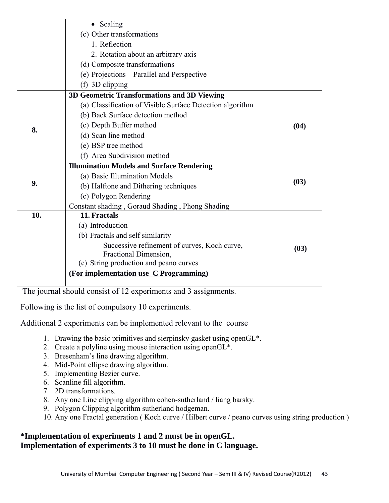|     | • Scaling                                                 |      |
|-----|-----------------------------------------------------------|------|
|     | (c) Other transformations                                 |      |
|     | 1. Reflection                                             |      |
|     | 2. Rotation about an arbitrary axis                       |      |
|     | (d) Composite transformations                             |      |
|     | (e) Projections - Parallel and Perspective                |      |
|     | (f) 3D clipping                                           |      |
|     | 3D Geometric Transformations and 3D Viewing               |      |
|     | (a) Classification of Visible Surface Detection algorithm |      |
|     | (b) Back Surface detection method                         |      |
|     | (c) Depth Buffer method                                   | (04) |
| 8.  | (d) Scan line method                                      |      |
|     | (e) BSP tree method                                       |      |
|     | (f) Area Subdivision method                               |      |
|     | <b>Illumination Models and Surface Rendering</b>          |      |
|     | (a) Basic Illumination Models                             |      |
| 9.  | (b) Halftone and Dithering techniques                     | (03) |
|     | (c) Polygon Rendering                                     |      |
|     | Constant shading, Goraud Shading, Phong Shading           |      |
| 10. | 11. Fractals                                              |      |
|     | (a) Introduction                                          |      |
|     | (b) Fractals and self similarity                          |      |
|     | Successive refinement of curves, Koch curve,              | (03) |
|     | Fractional Dimension,                                     |      |
|     | (c) String production and peano curves                    |      |
|     | (For implementation use C Programming)                    |      |
|     |                                                           |      |

The journal should consist of 12 experiments and 3 assignments.

Following is the list of compulsory 10 experiments.

Additional 2 experiments can be implemented relevant to the course

- 1. Drawing the basic primitives and sierpinsky gasket using openGL\*.
- 2. Create a polyline using mouse interaction using openGL\*.
- 3. Bresenham's line drawing algorithm.
- 4. Mid-Point ellipse drawing algorithm.
- 5. Implementing Bezier curve.
- 6. Scanline fill algorithm.
- 7. 2D transformations.
- 8. Any one Line clipping algorithm cohen-sutherland / liang barsky.
- 9. Polygon Clipping algorithm sutherland hodgeman.
- 10. Any one Fractal generation ( Koch curve / Hilbert curve / peano curves using string production )

## **\*Implementation of experiments 1 and 2 must be in openGL. Implementation of experiments 3 to 10 must be done in C language.**